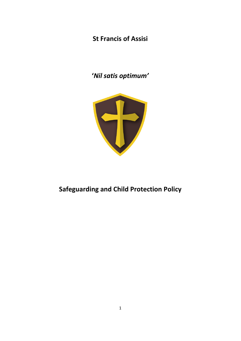**St Francis of Assisi**

**'***Nil satis optimum'*



**Safeguarding and Child Protection Policy**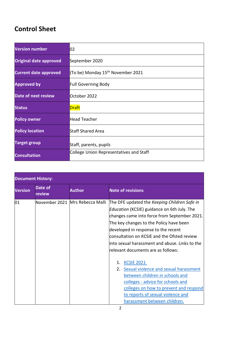# **Control Sheet**

| <b>Version number</b>         | 02                                            |
|-------------------------------|-----------------------------------------------|
| <b>Original date approved</b> | September 2020                                |
| <b>Current date approved</b>  | (To be) Monday 15 <sup>th</sup> November 2021 |
| <b>Approved by</b>            | <b>Full Governing Body</b>                    |
| <b>Date of next review</b>    | October 2022                                  |
| <b>Status</b>                 | <b>Draft</b>                                  |
| <b>Policy owner</b>           | Head Teacher                                  |
| <b>Policy location</b>        | <b>Staff Shared Area</b>                      |
| <b>Target group</b>           | Staff, parents, pupils                        |
| <b>Consultation</b>           | College Union Representatives and Staff       |

| <b>Document History:</b> |                   |                                 |                                                                                                                                                                                                                                                                                                                                                                              |  |
|--------------------------|-------------------|---------------------------------|------------------------------------------------------------------------------------------------------------------------------------------------------------------------------------------------------------------------------------------------------------------------------------------------------------------------------------------------------------------------------|--|
| <b>Version</b>           | Date of<br>review | <b>Author</b>                   | <b>Note of revisions</b>                                                                                                                                                                                                                                                                                                                                                     |  |
| 01                       |                   | November 2021 Mrs Rebecca Malli | The DFE updated the Keeping Children Safe in<br><b>Education (KCSIE) guidance on 6th July. The</b><br>changes came into force from September 2021.<br>The key changes to the Policy have been<br>developed in response to the recent<br>consultation on KCSIE and the Ofsted review<br>linto sexual harassment and abuse. Links to the<br>relevant documents are as follows: |  |
|                          |                   |                                 | <b>KCSIE 2021</b><br>2. Sexual violence and sexual harassment<br>between children in schools and<br>colleges - advice for schools and<br>colleges on how to prevent and respond<br>to reports of sexual violence and<br>harassment between children.                                                                                                                         |  |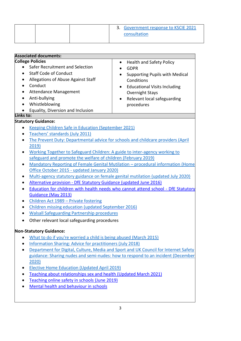|  |  | 3. Government response to KSCIE 2021 |
|--|--|--------------------------------------|
|  |  | consultation                         |
|  |  |                                      |

| <b>Associated documents:</b>                                                                   |                                                                                     |  |  |
|------------------------------------------------------------------------------------------------|-------------------------------------------------------------------------------------|--|--|
| <b>College Policies</b>                                                                        | <b>Health and Safety Policy</b><br>$\bullet$                                        |  |  |
| Safer Recruitment and Selection                                                                | <b>GDPR</b>                                                                         |  |  |
| <b>Staff Code of Conduct</b><br>$\bullet$                                                      | <b>Supporting Pupils with Medical</b>                                               |  |  |
| Allegations of Abuse Against Staff                                                             | Conditions                                                                          |  |  |
| Conduct<br>$\bullet$                                                                           | <b>Educational Visits Including</b><br>٠                                            |  |  |
| <b>Attendance Management</b><br>٠                                                              | <b>Overnight Stays</b>                                                              |  |  |
| Anti-bullying<br>$\bullet$                                                                     | Relevant local safeguarding<br>$\bullet$                                            |  |  |
| Whistleblowing<br>$\bullet$                                                                    | procedures                                                                          |  |  |
| Equality, Diversion and Inclusion                                                              |                                                                                     |  |  |
| Links to:                                                                                      |                                                                                     |  |  |
| <b>Statutory Guidance:</b>                                                                     |                                                                                     |  |  |
| <b>Keeping Children Safe in Education (September 2021)</b>                                     |                                                                                     |  |  |
| Teachers' standards (July 2011)<br>٠                                                           |                                                                                     |  |  |
| The Prevent Duty: Departmental advice for schools and childcare providers (April               |                                                                                     |  |  |
| 2019)                                                                                          |                                                                                     |  |  |
| Working Together to Safeguard Children: A guide to inter-agency working to<br>٠                |                                                                                     |  |  |
| safeguard and promote the welfare of children (February 2019)                                  |                                                                                     |  |  |
| ٠                                                                                              | Mandatory Reporting of Female Genital Mutilation - procedural information (Home     |  |  |
|                                                                                                | Office October 2015 - updated January 2020)                                         |  |  |
| Multi-agency statutory guidance on female genital mutilation (updated July 2020)<br>٠          |                                                                                     |  |  |
| Alternative provision - DfE Statutory Guidance (updated June 2016)<br>$\bullet$                |                                                                                     |  |  |
| Education for children with health needs who cannot attend school - DfE Statutory<br>$\bullet$ |                                                                                     |  |  |
| <b>Guidance (May 2013)</b>                                                                     |                                                                                     |  |  |
| Children Act 1989 - Private fostering<br>٠                                                     |                                                                                     |  |  |
| Children missing education (updated September 2016)<br>٠                                       |                                                                                     |  |  |
| <b>Walsall Safeguarding Partnership procedures</b>                                             |                                                                                     |  |  |
| Other relevant local safeguarding procedures                                                   |                                                                                     |  |  |
| <b>Non-Statutory Guidance:</b>                                                                 |                                                                                     |  |  |
|                                                                                                | What to do if you're worried a child is being abused (March 2015)                   |  |  |
|                                                                                                | Information Sharing: Advice for practitioners (July 2018)                           |  |  |
|                                                                                                | Department for Digital, Culture, Media and Sport and UK Council for Internet Safety |  |  |
| guidance: Sharing nudes and semi-nudes: how to respond to an incident (December                |                                                                                     |  |  |
| 2020)                                                                                          |                                                                                     |  |  |
| <b>Elective Home Education (Updated April 2019)</b>                                            |                                                                                     |  |  |
| Teaching about relationships sex and health (Updated March 2021)                               |                                                                                     |  |  |
| Teaching online safety in schools (June 2019)                                                  |                                                                                     |  |  |
| Mental health and behaviour in schools                                                         |                                                                                     |  |  |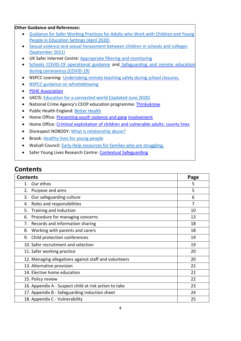#### **Other Guidance and References:**

- [Guidance for Safer Working Practices for Adults who Work with Children and Young](file:///C:/Users/User/OneDrive/Martin%20Jobs%20Sept%202018%20Onwards/Luke%20and%20St%20Francis/Policies/Autumn%20Term%202021/Safeguarding/gswp-covid-addendum-april-2020-final-2.pdf)  [People in Education Settings \(April 2020\)](file:///C:/Users/User/OneDrive/Martin%20Jobs%20Sept%202018%20Onwards/Luke%20and%20St%20Francis/Policies/Autumn%20Term%202021/Safeguarding/gswp-covid-addendum-april-2020-final-2.pdf)
- [Sexual violence and sexual harassment between children in schools and colleges](https://assets.publishing.service.gov.uk/government/uploads/system/uploads/attachment_data/file/1014224/Sexual_violence_and_sexual_harassment_between_children_in_schools_and_colleges.pdf)  [\(September 2021\)](https://assets.publishing.service.gov.uk/government/uploads/system/uploads/attachment_data/file/1014224/Sexual_violence_and_sexual_harassment_between_children_in_schools_and_colleges.pdf)
- UK Safer Internet Centre: [Appropriate filtering](file:///C:/Users/lsalkeld/AppData/Local/Microsoft/Windows/INetCache/Content.Outlook/7RKQ8ZXO/appropriate%20filtering%20and%20monitoring) and monitoring
- [Schools COVID-19 operational guidance](https://www.gov.uk/government/publications/actions-for-schools-during-the-coronavirus-outbreak/schools-covid-19-operational-guidance) and [Safeguarding and remote education](https://www.gov.uk/guidance/safeguarding-and-remote-education-during-coronavirus-covid-19) [during coronavirus \(COVID-19\)](https://www.gov.uk/guidance/safeguarding-and-remote-education-during-coronavirus-covid-19)
- NSPCC Learning- [Undertaking](https://learning.nspcc.org.uk/news/covid/undertaking-remote-teaching-safely) remote teaching safely during school closures.
- [NSPCC guidance on whistleblowing](https://www.nspcc.org.uk/keeping-children-safe/reporting-abuse/dedicated-helplines/whistleblowing-advice-line/)
- PSHE Association
- UKCIS: [Education for a connected world \(Updated June 2020\)](https://www.gov.uk/government/publications/education-for-a-connected-world)
- National Crime Agency's CEOP education programme: [Thinkuknow](https://www.thinkuknow.co.uk/)
- Public Health England: [Better Health](https://campaignresources.phe.gov.uk/schools/topics/mental-wellbeing/overview)
- Home Office: [Preventing youth violence and gang](https://www.gov.uk/government/publications/advice-to-schools-and-colleges-on-gangs-and-youth-violence) [involvement](https://www.gov.uk/government/publications/advice-to-schools-and-colleges-on-gangs-and-youth-violence)
- Home Office: [Criminal exploitation of children and vulnerable adults: county lines](https://www.gov.uk/government/publications/criminal-exploitation-of-children-and-vulnerable-adults-county-lines)
- Disrespect NOBODY: [What is relationship abuse?](https://www.disrespectnobody.co.uk/relationship-abuse/what-is-relationship-abuse/)
- Brook: [Healthy lives for young people](https://www.brook.org.uk/)
- Walsall Council: [Early Help resources for families who are struggling.](https://go.walsall.gov.uk/children_and_young_people/early_help)
- Safer Young Lives Research Centre: [Contextual](https://contextualsafeguarding.org.uk/about/what-is-contextual-safeguarding) [Safeguarding](https://contextualsafeguarding.org.uk/about/what-is-contextual-safeguarding)

## **Contents**

| <b>Contents</b>                                       | Page           |
|-------------------------------------------------------|----------------|
| 1. Our ethos                                          | 5              |
| Purpose and aims<br>2.                                | 5              |
| Our safeguarding culture<br>3.                        | 6              |
| Roles and responsibilities<br>4.                      | $\overline{7}$ |
| Training and induction<br>5.                          | 10             |
| Procedure for managing concerns<br>6.                 | 13             |
| Records and information sharing<br>7.                 | 18             |
| Working with parents and carers<br>8.                 | 18             |
| Child protection conferences<br>9.                    | 19             |
| 10. Safer recruitment and selection                   | 19             |
| 11. Safer working practice                            | 20             |
| 12. Managing allegations against staff and volunteers | 20             |
| 13. Alternative provision                             | 22             |
| 14. Elective home education                           | 22             |
| 15. Policy review                                     | 22             |
| 16. Appendix A - Suspect child at risk action to take | 23             |
| 17. Appendix B - Safeguarding induction sheet         | 24             |
| 18. Appendix C - Vulnerability                        | 25             |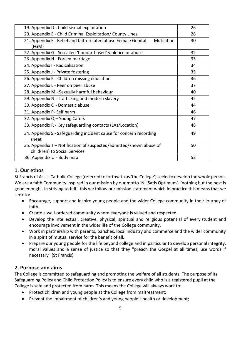| 19. Appendix D - Child sexual exploitation                                                          | 26 |
|-----------------------------------------------------------------------------------------------------|----|
| 20. Appendix E - Child Criminal Exploitation/ County Lines                                          | 28 |
| 21. Appendix F - Belief and faith-related abuse Female Genital<br>Mutilation<br>(FGM)               | 30 |
| 22. Appendix G - So-called 'honour-based' violence or abuse                                         | 32 |
| 23. Appendix H - Forced marriage                                                                    | 33 |
| 24. Appendix I - Radicalisation                                                                     | 34 |
| 25. Appendix J - Private fostering                                                                  | 35 |
| 26. Appendix K - Children missing education                                                         | 36 |
| 27. Appendix L - Peer on peer abuse                                                                 | 37 |
| 28. Appendix M - Sexually harmful behaviour                                                         | 40 |
| 29. Appendix N - Trafficking and modern slavery                                                     | 42 |
| 30. Appendix O - Domestic abuse                                                                     | 44 |
| 31. Appendix P- Self harm                                                                           | 46 |
| 32. Appendix Q - Young Carers                                                                       | 47 |
| 33. Appendix R - Key safeguarding contacts (LAs/Location)                                           | 48 |
| 34. Appendix S - Safeguarding incident cause for concern recording<br>sheet                         | 49 |
| 35. Appendix T – Notification of suspected/admitted/known abuse of<br>child(ren) to Social Services | 50 |
| 36. Appendix U - Body map                                                                           | 52 |

### **1. Our ethos**

St Francis of Assisi Catholic College (referred to forthwith as 'the College') seeks to develop the whole person. We are a faith Community inspired in our mission by our motto 'Nil Satis Optimum'- 'nothing but the best is good enough'. In striving to fulfil this we follow our mission statement which in practice this means that we seek to:

- Encourage, support and inspire young people and the wider College community in their journey of faith.
- Create a well-ordered community where everyone is valued and respected.
- Develop the intellectual, creative, physical, spiritual and religious potential of every student and encourage involvement in the wider life of the College community.
- Work in partnership with parents, parishes, local industry and commerce and the wider community in a spirit of mutual service for the benefit of all.
- Prepare our young people for the life beyond college and in particular to develop personal integrity, moral values and a sense of justice so that they "preach the Gospel at all times, use words if necessary" (St Francis).

### **2. Purpose and aims**

The College is committed to safeguarding and promoting the welfare of all students. The purpose of its Safeguarding Policy and Child Protection Policy is to ensure every child who is a registered pupil at the College is safe and protected from harm. This means the College will always work to:

- Protect children and young people at the College from maltreatment;
- Prevent the impairment of children's and young people's health or development;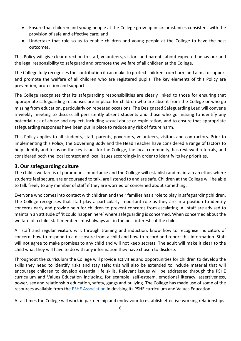- Ensure that children and young people at the College grow up in circumstances consistent with the provision of safe and effective care; and
- Undertake that role so as to enable children and young people at the College to have the best outcomes.

This Policy will give clear direction to staff, volunteers, visitors and parents about expected behaviour and the legal responsibility to safeguard and promote the welfare of all children at the College.

The College fully recognises the contribution it can make to protect children from harm and aims to support and promote the welfare of all children who are registered pupils. The key elements of this Policy are prevention, protection and support.

The College recognises that its safeguarding responsibilities are clearly linked to those for ensuring that appropriate safeguarding responses are in place for children who are absent from the College or who go missing from education, particularly on repeated occasions. The Designated Safeguarding Lead will convene a weekly meeting to discuss all persistently absent students and those who go missing to identify any potential risk of abuse and neglect, including sexual abuse or exploitation, and to ensure that appropriate safeguarding responses have been put in place to reduce any risk of future harm.

This Policy applies to all students, staff, parents, governors, volunteers, visitors and contractors. Prior to implementing this Policy, the Governing Body and the Head Teacher have considered a range of factors to help identify and focus on the key issues for the College, the local community, has reviewed referrals, and considered both the local context and local issues accordingly in order to identify its key priorities.

#### **3. Our safeguarding culture**

The child's welfare is of paramount importance and the College will establish and maintain an ethos where students feel secure, are encouraged to talk, are listened to and are safe. Children at the College will be able to talk freely to any member of staff if they are worried or concerned about something.

Everyone who comes into contact with children and their families has a role to play in safeguarding children. The College recognises that staff play a particularly important role as they are in a position to identify concerns early and provide help for children to prevent concerns from escalating. All staff are advised to maintain an attitude of 'it could happen here' where safeguarding is concerned. When concerned about the welfare of a child, staff members must always act in the best interests of the child.

All staff and regular visitors will, through training and induction, know how to recognise indicators of concern, how to respond to a disclosure from a child and how to record and report this information. Staff will not agree to make promises to any child and will not keep secrets. The adult will make it clear to the child what they will have to do with any information they have chosen to disclose.

Throughout the curriculum the College will provide activities and opportunities for children to develop the skills they need to identify risks and stay safe; this will also be extended to include material that will encourage children to develop essential life skills. Relevant issues will be addressed through the PSHE curriculum and Values Education including, for example, self-esteem, emotional literacy, assertiveness, power, sex and relationship education, safety, gangs and bullying. The College has made use of some of the resources available from the **PSHE Association** in devising its PSHE curriculum and Values Education.

At all times the College will work in partnership and endeavour to establish effective working relationships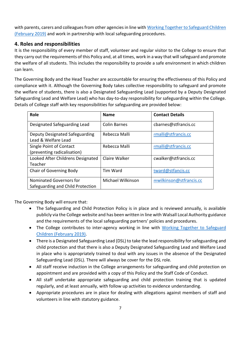with parents, carers and colleagues from other agencies in line wit[h Working Together to Safeguard Children](https://www.gov.uk/government/publications/working-together-to-safeguard-children--2)  [\(February 2019\)](https://www.gov.uk/government/publications/working-together-to-safeguard-children--2) and work in partnership with local safeguarding procedures.

#### **4. Roles and responsibilities**

It is the responsibility of every member of staff, volunteer and regular visitor to the College to ensure that they carry out the requirements of this Policy and, at all times, work in a way that will safeguard and promote the welfare of all students. This includes the responsibility to provide a safe environment in which children can learn.

The Governing Body and the Head Teacher are accountable for ensuring the effectiveness of this Policy and compliance with it. Although the Governing Body takes collective responsibility to safeguard and promote the welfare of students, there is also a Designated Safeguarding Lead (supported by a Deputy Designated Safeguarding Lead and Welfare Lead) who has day-to-day responsibility for safeguarding within the College. Details of College staff with key responsibilities for safeguarding are provided below:

| <b>Role</b>                                                  | <b>Name</b>         | <b>Contact Details</b>  |
|--------------------------------------------------------------|---------------------|-------------------------|
| Designated Safeguarding Lead                                 | <b>Colin Barnes</b> | cbarnes@stfrancis.cc    |
| Deputy Designated Safeguarding<br>Lead & Welfare Lead        | Rebecca Malli       | rmalli@stfrancis.cc     |
| Single Point of Contact<br>(preventing radicalisation)       | Rebecca Malli       | rmalli@stfrancis.cc     |
| Looked After Childrens Designated<br>Teacher                 | Claire Walker       | cwalker@stfrancis.cc    |
| <b>Chair of Governing Body</b>                               | <b>Tim Ward</b>     | tward@stfancis.cc       |
| Nominated Governors for<br>Safeguarding and Child Protection | Michael Wilkinson   | mwilkinson@stfrancis.cc |

The Governing Body will ensure that:

- The Safeguarding and Child Protection Policy is in place and is reviewed annually, is available publicly via the College website and has been written in line with Walsall Local Authority guidance and the requirements of the local safeguarding partners' policies and procedures.
- The College contributes to inter-agency working in line with Working Together to Safeguard [Children \(February 2019\).](https://www.gov.uk/government/publications/working-together-to-safeguard-children--2)
- There is a Designated Safeguarding Lead (DSL) to take the lead responsibility for safeguarding and child protection and that there is also a Deputy Designated Safeguarding Lead and Welfare Lead in place who is appropriately trained to deal with any issues in the absence of the Designated Safeguarding Lead (DSL). There will always be cover for the DSL role.
- All staff receive induction in the College arrangements for safeguarding and child protection on appointment and are provided with a copy of this Policy and the Staff Code of Conduct.
- All staff undertake appropriate safeguarding and child protection training that is updated regularly, and at least annually, with follow up activities to evidence understanding.
- Appropriate procedures are in place for dealing with allegations against members of staff and volunteers in line with statutory guidance.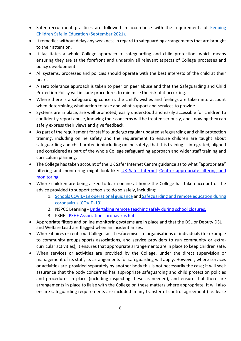- Safer recruitment practices are followed in accordance with the requirements of Keeping [Children Safe in Education \(September 2021\).](https://www.gov.uk/government/publications/keeping-children-safe-in-education--2)
- It remedies without delay any weakness in regard to safeguarding arrangements that are brought to their attention.
- It facilitates a whole College approach to safeguarding and child protection, which means ensuring they are at the forefront and underpin all relevant aspects of College processes and policy development.
- All systems, processes and policies should operate with the best interests of the child at their heart.
- A zero tolerance approach is taken to peer on peer abuse and that the Safeguarding and Child Protection Policy will include procedures to minimise the risk of it occurring.
- Where there is a safeguarding concern, the child's wishes and feelings are taken into account when determining what action to take and what support and services to provide.
- Systems are in place, are well promoted, easily understood and easily accessible for children to confidently report abuse, knowing their concerns will be treated seriously, and knowing they can safely express their views and give feedback.
- As part of the requirement for staff to undergo regular updated safeguarding and child protection training, including online safety and the requirement to ensure children are taught about safeguarding and child protectionincluding online safety, that this training is integrated, aligned and considered as part of the whole College safeguarding approach and wider staff training and curriculum planning.
- The College has taken account of the UK Safer Internet Centre guidance as to what "appropriate" filtering and monitoring might look like: [UK Safer Internet](https://www.saferinternet.org.uk/advice-centre/teachers-and-school-staff/appropriate-filtering-and-monitoring) Centre: [appropriate filtering](https://www.saferinternet.org.uk/advice-centre/teachers-and-school-staff/appropriate-filtering-and-monitoring) and [monitoring.](https://www.saferinternet.org.uk/advice-centre/teachers-and-school-staff/appropriate-filtering-and-monitoring)
- Where children are being asked to learn online at home the College has taken account of the advice provided to support schools to do so safely, including:
	- 1. [Schools COVID-19 operational guidance](https://www.gov.uk/government/publications/actions-for-schools-during-the-coronavirus-outbreak/schools-covid-19-operational-guidance) and [Safeguarding and remote education](https://www.gov.uk/guidance/safeguarding-and-remote-education-during-coronavirus-covid-19) during [coronavirus \(COVID-19\)](https://www.gov.uk/guidance/safeguarding-and-remote-education-during-coronavirus-covid-19)
	- 2. NSPCC Learning [Undertaking](https://learning.nspcc.org.uk/news/covid/undertaking-remote-teaching-safely) remote teaching safely during school closures.
	- 3. PSHE PSHE Association [coronavirus](https://www.pshe-association.org.uk/curriculum-and-resources/search-for-resources) hub.
- Appropriate filters and online monitoring systems are in place and that the DSL or Deputy DSL and Welfare Lead are flagged when an incident arises.
- Where it hires or rents out College facilities/premises to organisations or individuals (for example to community groups,sports associations, and service providers to run community or extracurricular activities), it ensures that appropriate arrangements are in place to keep children safe.
- When services or activities are provided by the College, under the direct supervision or management of its staff, its arrangements for safeguarding will apply. However, where services or activities are provided separately by another body this is not necessarily the case; it will seek assurance that the body concerned has appropriate safeguarding and child protection policies and procedures in place (including inspecting these as needed), and ensure that there are arrangements in place to liaise with the College on these matters where appropriate. It will also ensure safeguarding requirements are included in any transfer of control agreement (i.e. lease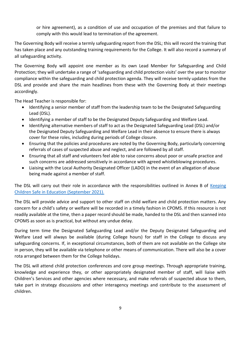or hire agreement), as a condition of use and occupation of the premises and that failure to comply with this would lead to termination of the agreement.

The Governing Body will receive a termly safeguarding report from the DSL; this will record the training that has taken place and any outstanding training requirements for the College. It will also record a summary of all safeguarding activity.

The Governing Body will appoint one member as its own Lead Member for Safeguarding and Child Protection; they will undertake a range of 'safeguarding and child protection visits' over the year to monitor compliance within the safeguarding and child protection agenda. They will receive termly updates from the DSL and provide and share the main headlines from these with the Governing Body at their meetings accordingly.

The Head Teacher is responsible for:

- Identifying a senior member of staff from the leadership team to be the Designated Safeguarding Lead (DSL).
- Identifying a member of staff to be the Designated Deputy Safeguarding and Welfare Lead.
- Identifying alternative members of staff to act as the Designated Safeguarding Lead (DSL) and/or the Designated Deputy Safeguarding and Welfare Lead in their absence to ensure there is always cover for these roles, including during periods of College closure.
- Ensuring that the policies and procedures are noted by the Governing Body, particularly concerning referrals of cases of suspected abuse and neglect, and are followed by all staff.
- Ensuring that all staff and volunteers feel able to raise concerns about poor or unsafe practice and such concerns are addressed sensitively in accordance with agreed whistleblowing procedures.
- Liaising with the Local Authority Designated Officer (LADO) in the event of an allegation of abuse being made against a member of staff.

The DSL will carry out their role in accordance with the responsibilities outlined in Annex B of Keeping [Children Safe in Education \(September](https://www.gov.uk/government/publications/keeping-children-safe-in-education--2) 2021).

The DSL will provide advice and support to other staff on child welfare and child protection matters. Any concern for a child's safety or welfare will be recorded in a timely fashion in CPOMS. If this resource is not readily available at the time, then a paper record should be made, handed to the DSL and then scanned into CPOMS as soon as is practical, but without any undue delay.

During term time the Designated Safeguarding Lead and/or the Deputy Designated Safeguarding and Welfare Lead will always be available (during College hours) for staff in the College to discuss any safeguarding concerns. If, in exceptional circumstances, both of them are not available on the College site in person, they will be available via telephone or other means of communication. There will also be a cover rota arranged between them for the College holidays.

The DSL will attend child protection conferences and core group meetings. Through appropriate training, knowledge and experience they, or other appropriately designated member of staff, will liaise with Children's Services and other agencies where necessary, and make referrals of suspected abuse to them, take part in strategy discussions and other interagency meetings and contribute to the assessment of children.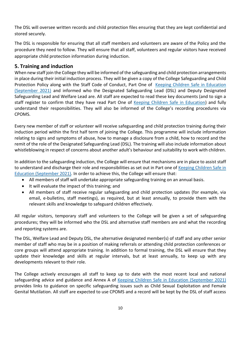The DSL will oversee written records and child protection files ensuring that they are kept confidential and stored securely.

The DSL is responsible for ensuring that all staff members and volunteers are aware of the Policy and the procedure they need to follow. They will ensure that all staff, volunteers and regular visitors have received appropriate child protection information during induction.

### **5. Training and induction**

When new staff join the College they will be informed of the safeguarding and child protection arrangements in place during their initial induction process. They will be given a copy of the College Safeguarding and Child Protection Policy along with the Staff Code of Conduct, Part One of Keeping Children Safe in Education [\(September 2021\)](https://www.gov.uk/government/publications/keeping-children-safe-in-education--2) and informed who the Designated Safeguarding Lead (DSL) and Deputy Designated Safeguarding Lead and Welfare Lead are. All staff are expected to read these key documents (and to sign a staff register to confirm that they have read Part One of [Keeping Children Safe in Education\)](https://www.gov.uk/government/publications/keeping-children-safe-in-education--2) and fully understand their responsibilities. They will also be informed of the College's recording procedures via CPOMS.

Every new member of staff or volunteer will receive safeguarding and child protection training during their induction period within the first half term of joining the College. This programme will include information relating to signs and symptoms of abuse, how to manage a disclosure from a child, how to record and the remit of the role of the Designated Safeguarding Lead (DSL). The training will also include information about whistleblowing in respect of concerns about another adult's behaviour and suitability to work with children.

In addition to the safeguarding induction, the College will ensure that mechanisms are in place to assist staff to understand and discharge their role and responsibilities as set out in Part one of [Keeping Children Safe](https://www.gov.uk/government/publications/keeping-children-safe-in-education--2) in [Education \(September](https://www.gov.uk/government/publications/keeping-children-safe-in-education--2) 2021). In order to achieve this, the College will ensure that:

- All members of staff will undertake appropriate safeguarding training on an annual basis.
- It will evaluate the impact of this training; and
- All members of staff receive regular safeguarding and child protection updates (for example, via email, e-bulletins, staff meetings), as required, but at least annually, to provide them with the relevant skills and knowledge to safeguard children effectively.

All regular visitors, temporary staff and volunteers to the College will be given a set of safeguarding procedures; they will be informed who the DSL and alternative staff members are and what the recording and reporting systems are.

The DSL, Welfare Lead and Deputy DSL, the alternative designated member(s) of staff and any other senior member of staff who may be in a position of making referrals or attending child protection conferences or core groups will attend appropriate training. In addition to formal training, the DSL will ensure that they update their knowledge and skills at regular intervals, but at least annually, to keep up with any developments relevant to their role.

The College actively encourages all staff to keep up to date with the most recent local and national safeguarding advice and guidance and Annex A of Keeping Children Safe [in Education \(September](https://www.gov.uk/government/publications/keeping-children-safe-in-education--2) 2021) provides links to guidance on specific safeguarding issues such as Child Sexual Exploitation and Female Genital Mutilation. All staff are expected to use CPOMS and a record will be kept by the DSL of staff access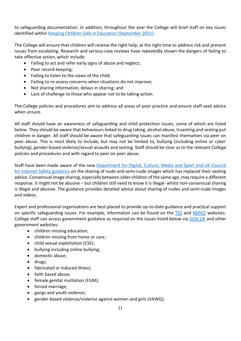to safeguarding documentation. In addition, throughout the year the College will brief staff on key issues identified within [Keeping Children Safe in Education \(September 2021\).](https://www.gov.uk/government/publications/keeping-children-safe-in-education--2)

The College will ensure that children will receive the right help, at the right time to address risk and prevent issues from escalating. Research and serious case reviews have repeatedly shown the dangers of failing to take effective action, which include:

- Failing to act and refer early signs of abuse and neglect;
- Poor record-keeping;
- Failing to listen to the views of the child;
- Failing to re-assess concerns when situations do not improve;
- Not sharing information, delays in sharing; and
- Lack of challenge to those who appear not to be taking action.

The College policies and procedures aim to address all areas of poor practice and ensure staff seek advice when unsure.

All staff should have an awareness of safeguarding and child protection issues, some of which are listed below. They should be aware that behaviours linked to drug taking, alcohol abuse, truanting and sexting put children in danger. All staff should be aware that safeguarding issues can manifest themselves via peer on peer abuse. This is most likely to include, but may not be limited to, bullying (including online or cyber bullying), gender-based violence/sexual assaults and sexting. Staff should be clear as to the relevant College policies and procedures and with regard to peer on peer abuse.

Staff have been made aware of the new Department for Digital, Culture, Media and Sport and UK Council [for Internet Safety](https://www.gov.uk/government/publications/sharing-nudes-and-semi-nudes-advice-for-education-settings-working-with-children-and-young-people) guidance on the sharing of nude and semi-nude images which has replaced their sexting advice. Consensual image sharing, especially between older children of the same age, may require a different response. It might not be abusive – but children still need to know it is illegal- whilst non-consensual sharing is illegal and abusive. The guidance provides detailed advice about sharing of nudes and semi-nude images and videos.

Expert and professional organisations are best placed to provide up-to-date guidance and practical support on specific safeguarding issues. For example, information can be found on the [TES](https://www.tes.com/) and [NSPCC](https://www.nspcc.org.uk/) websites. College staff can access government guidance as required on the issues listed below via [GOV.UK](https://www.gov.uk/) and other government websites:

- children missing education;
- children missing from home or care;
- child sexual exploitation (CSE);
- bullying including online bullying;
- domestic abuse;
- drugs;
- fabricated or induced illness;
- faith based abuse;
- female genital mutilation (FGM);
- forced marriage;
- gangs and youth violence;
- gender-based violence/violence against women and girls (VAWG);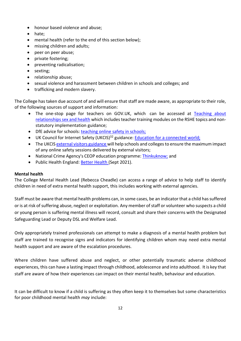- honour based violence and abuse;
- hate;
- mental health (refer to the end of this section below);
- missing children and adults;
- peer on peer abuse;
- private fostering;
- preventing radicalisation;
- sexting;
- relationship abuse;
- sexual violence and harassment between children in schools and colleges; and
- trafficking and modern slavery.

The College has taken due account of and will ensure that staff are made aware, as appropriate to their role, of the following sources of support and information:

- The one-stop page for teachers on GOV.UK, which can be accessed at Teaching about [relationships sex and health](https://www.gov.uk/guidance/teaching-about-relationships-sex-and-health) which includes teacher training modules on the RSHE topics and nonstatutory implementation guidance;
- DfE advice for schools: [teaching](https://www.gov.uk/government/publications/teaching-online-safety-in-schools) online safety in schools;
- UK Council for Internet Safety (UKCIS)<sup>32</sup> guidance: **Education for a connected world**;
- The UKCIS [external visitors guidance w](https://www.gov.uk/government/publications/using-external-visitors-to-support-online-safety-education-guidance-for-educational-settings)ill help schools and colleges to ensure the maximum impact of any online safety sessions delivered by external visitors;
- National Crime Agency's CEOP education programme: [Thinkuknow;](https://www.thinkuknow.co.uk/) and
- Public Health England: Better Health (Sept 2021).

#### **Mental health**

The College Mental Health Lead (Rebecca Cheadle) can access a range of advice to help staff to identify children in need of extra mental health support, this includes working with external agencies.

Staff must be aware that mental health problems can, in some cases, be an indicator that a child has suffered or is at risk of suffering abuse, neglect or exploitation. Any member of staff or volunteer who suspects a child or young person is suffering mental illness will record, consult and share their concerns with the Designated Safeguarding Lead or Deputy DSL and Welfare Lead.

Only appropriately trained professionals can attempt to make a diagnosis of a mental health problem but staff are trained to recognise signs and indicators for identifying children whom may need extra mental health support and are aware of the escalation procedures.

Where children have suffered abuse and neglect, or other potentially traumatic adverse childhood experiences, this can have a lasting impact through childhood, adolescence and into adulthood. It is key that staff are aware of how their experiences can impact on their mental health, behaviour and education.

It can be difficult to know if a child is suffering as they often keep it to themselves but some characteristics for poor childhood mental health *may* include: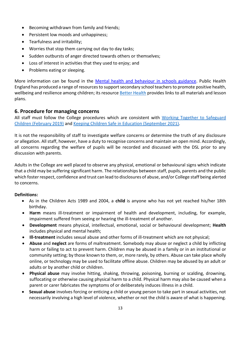- Becoming withdrawn from family and friends;
- Persistent low moods and unhappiness;
- Tearfulness and irritability;
- Worries that stop them carrying out day to day tasks;
- Sudden outbursts of anger directed towards others or themselves;
- Loss of interest in activities that they used to enjoy; and
- Problems eating or sleeping.

More information can be found in the [Mental health and behaviour in schools guidance.](https://www.gov.uk/government/publications/mental-health-and-behaviour-in-schools--2) Public Health England has produced a range of resources to support secondary school teachers to promote positive health, wellbeing and resilience among children; its resource **Better Health provides links to all materials** and lesson plans.

#### **6. Procedure for managing concerns**

All staff must follow the College procedures which are consistent with [Working Together to Safeguard](https://www.gov.uk/government/publications/working-together-to-safeguard-children--2)  [Children \(February 2019\)](https://www.gov.uk/government/publications/working-together-to-safeguard-children--2) and Keeping Children Safe [in Education \(September](https://www.gov.uk/government/publications/keeping-children-safe-in-education--2) 2021).

It is not the responsibility of staff to investigate welfare concerns or determine the truth of any disclosure or allegation. All staff, however, have a duty to recognise concerns and maintain an open mind. Accordingly, all concerns regarding the welfare of pupils will be recorded and discussed with the DSL prior to any discussion with parents.

Adults in the College are well placed to observe any physical, emotional or behavioural signs which indicate that a child may be suffering significant harm. The relationships between staff, pupils, parents and the public which foster respect, confidence and trust can lead to disclosures of abuse, and/or College staff being alerted to concerns.

#### **Definitions:**

- As in the Children Acts 1989 and 2004, a **child** is anyone who has not yet reached his/her 18th birthday.
- **Harm** means ill-treatment or impairment of health and development, including, for example, impairment suffered from seeing or hearing the ill-treatment of another.
- **Development** means physical, intellectual, emotional, social or behavioural development; **Health**  includes physical and mental health;
- **Ill-treatment** includes sexual abuse and other forms of ill-treatment which are not physical;
- **Abuse** and **neglect** are forms of maltreatment. Somebody may abuse or neglect a child by inflicting harm or failing to act to prevent harm. Children may be abused in a family or in an institutional or community setting; by those known to them, or, more rarely, by others. Abuse can take place wholly online, or technology may be used to facilitate offline abuse. Children may be abused by an adult or adults or by another child or children.
- **Physical abuse** may involve hitting, shaking, throwing, poisoning, burning or scalding, drowning, suffocating or otherwise causing physical harm to a child. Physical harm may also be caused when a parent or carer fabricates the symptoms of or deliberately induces illness in a child.
- **Sexual abuse** involves forcing or enticing a child or young person to take part in sexual activities, not necessarily involving a high level of violence, whether or not the child is aware of what is happening.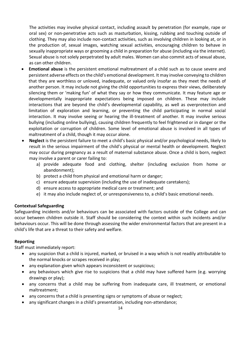The activities may involve physical contact, including assault by penetration (for example, rape or oral sex) or non-penetrative acts such as masturbation, kissing, rubbing and touching outside of clothing. They may also include non-contact activities, such as involving children in looking at, or in the production of, sexual images, watching sexual activities, encouraging children to behave in sexually inappropriate ways or grooming a child in preparation for abuse (including via the internet). Sexual abuse is not solely perpetrated by adult males. Women can also commit acts of sexual abuse, as can other children.

- **Emotional abuse** is the persistent emotional maltreatment of a child such as to cause severe and persistent adverse effects on the child's emotional development. It may involve conveying to children that they are worthless or unloved, inadequate, or valued only insofar as they meet the needs of another person. It may include not giving the child opportunities to express their views, deliberately silencing them or 'making fun' of what they say or how they communicate. It may feature age or developmentally inappropriate expectations being imposed on children. These may include interactions that are beyond the child's developmental capability, as well as overprotection and limitation of exploration and learning, or preventing the child participating in normal social interaction. It may involve seeing or hearing the ill-treatment of another. It may involve serious bullying (including online bullying), causing children frequently to feel frightened or in danger or the exploitation or corruption of children. Some level of emotional abuse is involved in all types of maltreatment of a child, though it may occur alone.
- **Neglect** is the persistent failure to meet a child's basic physical and/or psychological needs, likely to result in the serious impairment of the child's physical or mental health or development. Neglect may occur during pregnancy as a result of maternal substance abuse. Once a child is born, neglect may involve a parent or carer failing to:
	- a) provide adequate food and clothing, shelter (including exclusion from home or abandonment);
	- b) protect a child from physical and emotional harm or danger;
	- c) ensure adequate supervision (including the use of inadequate caretakers);
	- d) ensure access to appropriate medical care or treatment; and
	- e) it may also include neglect of, or unresponsiveness to, a child's basic emotional needs.

#### **Contextual Safeguarding**

Safeguarding incidents and/or behaviours can be associated with factors outside of the College and can occur between children outside it. Staff should be considering the context within such incidents and/or behaviours occur. This will be done through assessing the wider environmental factors that are present in a child's life that are a threat to their safety and welfare.

#### **Reporting**

Staff must immediately report:

- any suspicion that a child is injured, marked, or bruised in a way which is not readily attributable to the normal knocks or scrapes received in play;
- any explanation given which appears inconsistent or suspicious;
- any behaviours which give rise to suspicions that a child may have suffered harm (e.g. worrying drawings or play);
- any concerns that a child may be suffering from inadequate care, ill treatment, or emotional maltreatment;
- any concerns that a child is presenting signs or symptoms of abuse or neglect;
- any significant changes in a child's presentation, including non-attendance;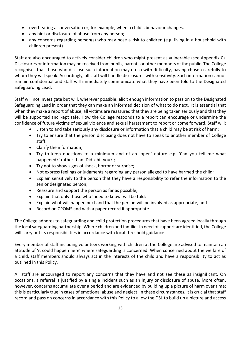- overhearing a conversation or, for example, when a child's behaviour changes.
- any hint or disclosure of abuse from any person;
- any concerns regarding person(s) who may pose a risk to children (e.g. living in a household with children present).

Staff are also encouraged to actively consider children who might present as vulnerable (see Appendix C). Disclosures or information may be received from pupils, parents or other members of the public. The College recognises that those who disclose such information may do so with difficulty, having chosen carefully to whom they will speak. Accordingly, all staff will handle disclosures with sensitivity. Such information cannot remain confidential and staff will immediately communicate what they have been told to the Designated Safeguarding Lead.

Staff will not investigate but will, wherever possible, elicit enough information to pass on to the Designated Safeguarding Lead in order that they can make an informed decision of what to do next. It is essential that when they make a report of abuse, all victims are reassured that they are being taken seriously and that they will be supported and kept safe. How the College responds to a report can encourage or undermine the confidence of future victims of sexual violence and sexual harassment to report or come forward. Staff will:

- Listen to and take seriously any disclosure or information that a child may be at risk of harm;
- Try to ensure that the person disclosing does not have to speak to another member of College staff.
- Clarify the information;
- Try to keep questions to a minimum and of an 'open' nature e.g. 'Can you tell me what happened?' rather than 'Did x hit you?';
- Try not to show signs of shock, horror or surprise;
- Not express feelings or judgments regarding any person alleged to have harmed the child;
- Explain sensitively to the person that they have a responsibility to refer the information to the senior designated person;
- Reassure and support the person as far as possible;
- Explain that only those who 'need to know' will be told;
- Explain what will happen next and that the person will be involved as appropriate; and
- Record on CPOMS and with a paper record if appropriate.

The College adheres to safeguarding and child protection procedures that have been agreed locally through the local safeguarding partnership. Where children and families in need of support are identified, the College will carry out its responsibilities in accordance with local threshold guidance.

Every member of staff including volunteers working with children at the College are advised to maintain an attitude of 'it could happen here' where safeguarding is concerned. When concerned about the welfare of a child, staff members should always act in the interests of the child and have a responsibility to act as outlined in this Policy.

All staff are encouraged to report any concerns that they have and not see these as insignificant. On occasions, a referral is justified by a single incident such as an injury or disclosure of abuse. More often, however, concerns accumulate over a period and are evidenced by building up a picture of harm over time; this is particularly true in cases of emotional abuse and neglect. In these circumstances, it is crucial that staff record and pass on concerns in accordance with this Policy to allow the DSL to build up a picture and access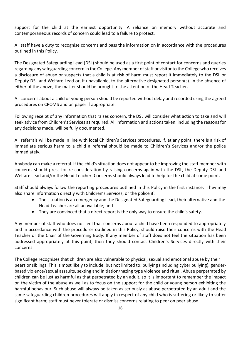support for the child at the earliest opportunity. A reliance on memory without accurate and contemporaneous records of concern could lead to a failure to protect.

All staff have a duty to recognise concerns and pass the information on in accordance with the procedures outlined in this Policy.

The Designated Safeguarding Lead (DSL) should be used as a first point of contact for concerns and queries regarding any safeguarding concern in the College. Any member of staff or visitor to the College who receives a disclosure of abuse or suspects that a child is at risk of harm must report it immediately to the DSL or Deputy DSL and Welfare Lead or, if unavailable, to the alternative designated person(s). In the absence of either of the above, the matter should be brought to the attention of the Head Teacher.

All concerns about a child or young person should be reported without delay and recorded using the agreed procedures on CPOMS and on paper if appropriate.

Following receipt of any information that raises concern, the DSL will consider what action to take and will seek advice from Children's Services as required. All information and actions taken, including the reasons for any decisions made, will be fully documented.

All referrals will be made in line with local Children's Services procedures. If, at any point, there is a risk of immediate serious harm to a child a referral should be made to Children's Services and/or the police immediately.

Anybody can make a referral. If the child's situation does not appear to be improving the staff member with concerns should press for re-consideration by raising concerns again with the DSL, the Deputy DSL and Welfare Lead and/or the Head Teacher. Concerns should always lead to help for the child at some point.

Staff should always follow the reporting procedures outlined in this Policy in the first instance. They may also share information directly with Children's Services, or the police if:

- The situation is an emergency and the Designated Safeguarding Lead, their alternative and the Head Teacher are all unavailable; and
- They are convinced that a direct report is the only way to ensure the child's safety.

Any member of staff who does not feel that concerns about a child have been responded to appropriately and in accordance with the procedures outlined in this Policy, should raise their concerns with the Head Teacher or the Chair of the Governing Body. If any member of staff does not feel the situation has been addressed appropriately at this point, then they should contact Children's Services directly with their concerns.

The College recognises that children are also vulnerable to physical, sexual and emotional abuse by their peers or siblings. This is most likely to include, but not limited to: bullying (including cyber bullying), genderbased violence/sexual assaults, sexting and initiation/hazing type violence and ritual. Abuse perpetrated by children can be just as harmful as that perpetrated by an adult, so it is important to remember the impact on the victim of the abuse as well as to focus on the support for the child or young person exhibiting the harmful behaviour. Such abuse will always be taken as seriously as abuse perpetrated by an adult and the same safeguarding children procedures will apply in respect of any child who is suffering or likely to suffer significant harm; staff must never tolerate or dismiss concerns relating to peer on peer abuse.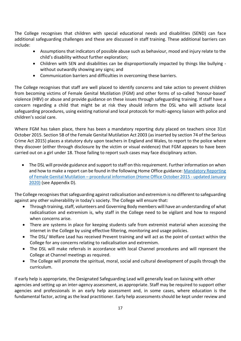The College recognises that children with special educational needs and disabilities (SEND) can face additional safeguarding challenges and these are discussed in staff training. These additional barriers can include:

- Assumptions that indicators of possible abuse such as behaviour, mood and injury relate to the child's disability without further exploration;
- Children with SEN and disabilities can be disproportionally impacted by things like bullying without outwardly showing any signs; and
- Communication barriers and difficulties in overcoming these barriers.

The College recognises that staff are well placed to identify concerns and take action to prevent children from becoming victims of Female Genital Mutilation (FGM) and other forms of so-called 'honour-based' violence (HBV) or abuse and provide guidance on these issues through safeguarding training. If staff have a concern regarding a child that might be at risk they should inform the DSL who will activate local safeguarding procedures, using existing national and local protocols for multi-agency liaison with police and children's social care.

Where FGM has taken place, there has been a mandatory reporting duty placed on teachers since 31st October 2015. Section 5B of the Female Genital Mutilation Act 2003 (as inserted by section 74 of the Serious Crime Act 2015) places a statutory duty upon teachers in England and Wales, to report to the police where they discover (either through disclosure by the victim or visual evidence) that FGM appears to have been carried out on a girl under 18. Those failing to report such cases may face disciplinary action.

• The DSL will provide guidance and support to staff on this requirement. Further information on when and how to make a report can be found in the following Home Office guidance: [Mandatory Reporting](https://www.gov.uk/government/publications/mandatory-reporting-of-female-genital-mutilation-procedural-information)  of Female Genital Mutilation – [procedural information \(Home Office October 2015 -](https://www.gov.uk/government/publications/mandatory-reporting-of-female-genital-mutilation-procedural-information) updated January [2020\)](https://www.gov.uk/government/publications/mandatory-reporting-of-female-genital-mutilation-procedural-information) (see Appendix D).

The College recognises that safeguarding against radicalisation and extremism is no different to safeguarding against any other vulnerability in today's society. The College will ensure that:

- Through training, staff, volunteers and Governing Body members will have an understanding of what radicalisation and extremism is, why staff in the College need to be vigilant and how to respond when concerns arise.
- There are systems in place for keeping students safe from extremist material when accessing the internet in the College by using effective filtering, monitoring and usage policies.
- The DSL/ Welfare Lead has received Prevent training and will act as the point of contact within the College for any concerns relating to radicalisation and extremism.
- The DSL will make referrals in accordance with local Channel procedures and will represent the College at Channel meetings as required.
- The College will promote the spiritual, moral, social and cultural development of pupils through the curriculum.

If early help is appropriate, the Designated Safeguarding Lead will generally lead on liaising with other agencies and setting up an inter-agency assessment, as appropriate. Staff may be required to support other agencies and professionals in an early help assessment and, in some cases, where education is the fundamental factor, acting as the lead practitioner. Early help assessments should be kept under review and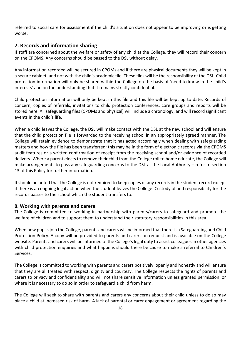referred to social care for assessment if the child's situation does not appear to be improving or is getting worse.

#### **7. Records and information sharing**

If staff are concerned about the welfare or safety of any child at the College, they will record their concern on the CPOMS. Any concerns should be passed to the DSL without delay.

Any information recorded will be secured in CPOMs and if there are physical documents they will be kept in a secure cabinet, and not with the child's academic file. These files will be the responsibility of the DSL. Child protection information will only be shared within the College on the basis of 'need to know in the child's interests' and on the understanding that it remains strictly confidential.

Child protection information will only be kept in this file and this file will be kept up to date. Records of concern, copies of referrals, invitations to child protection conferences, core groups and reports will be stored here. All safeguarding files (CPOMs and physical) will include a chronology, and will record significant events in the child's life.

When a child leaves the College, the DSL will make contact with the DSL at the new school and will ensure that the child protection file is forwarded to the receiving school in an appropriately agreed manner. The College will retain evidence to demonstrate that it has acted accordingly when dealing with safeguarding matters and how the file has been transferred; this may be in the form of electronic records via the CPOMS audit features or a written confirmation of receipt from the receiving school and/or evidence of recorded delivery. Where a parent elects to remove their child from the College roll to home educate, the College will make arrangements to pass any safeguarding concerns to the DSL at the Local Authority – refer to section 13 of this Policy for further information.

It should be noted that the College is not required to keep copies of any records in the student record except if there is an ongoing legal action when the student leaves the College. Custody of and responsibility for the records passes to the school which the student transfers to.

#### **8. Working with parents and carers**

The College is committed to working in partnership with parents/carers to safeguard and promote the welfare of children and to support them to understand their statutory responsibilities in this area.

When new pupils join the College, parents and carers will be informed that there is a Safeguarding and Child Protection Policy. A copy will be provided to parents and carers on request and is available on the College website. Parents and carers will be informed of the College's legal duty to assist colleagues in other agencies with child protection enquiries and what happens should there be cause to make a referral to Children's Services.

The College is committed to working with parents and carers positively, openly and honestly and will ensure that they are all treated with respect, dignity and courtesy. The College respects the rights of parents and carers to privacy and confidentiality and will not share sensitive information unless granted permission, or where it is necessary to do so in order to safeguard a child from harm.

The College will seek to share with parents and carers any concerns about their child unless to do so may place a child at increased risk of harm. A lack of parental or carer engagement or agreement regarding the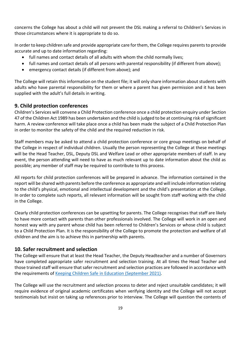concerns the College has about a child will not prevent the DSL making a referral to Children's Services in those circumstances where it is appropriate to do so.

In order to keep children safe and provide appropriate care for them, the College requires parents to provide accurate and up to date information regarding:

- full names and contact details of all adults with whom the child normally lives;
- full names and contact details of all persons with parental responsibility (if different from above);
- emergency contact details (if different from above); and

The College will retain this information on the student file; it will only share information about students with adults who have parental responsibility for them or where a parent has given permission and it has been supplied with the adult's full details in writing.

### **9. Child protection conferences**

Children's Services will convene a Child Protection conference once a child protection enquiry under Section 47 of the Children Act 1989 has been undertaken and the child is judged to be at continuing risk of significant harm. A review conference will take place once a child has been made the subject of a Child Protection Plan in order to monitor the safety of the child and the required reduction in risk.

Staff members may be asked to attend a child protection conference or core group meetings on behalf of the College in respect of individual children. Usually the person representing the College at these meetings will be the Head Teacher, DSL, Deputy DSL and Welfare Lead or other appropriate members of staff. In any event, the person attending will need to have as much relevant up to date information about the child as possible; any member of staff may be required to contribute to this process.

All reports for child protection conferences will be prepared in advance. The information contained in the report will be shared with parents before the conference as appropriate and will include information relating to the child's physical, emotional and intellectual development and the child's presentation at the College. In order to complete such reports, all relevant information will be sought from staff working with the child in the College.

Clearly child protection conferences can be upsetting for parents. The College recognises that staff are likely to have more contact with parents than other professionals involved. The College will work in an open and honest way with any parent whose child has been referred to Children's Services or whose child is subject to a Child Protection Plan. It is the responsibility of the College to promote the protection and welfare of all children and the aim is to achieve this in partnership with parents.

### **10. Safer recruitment and selection**

The College will ensure that at least the Head Teacher, the Deputy Headteacher and a number of Governors have completed appropriate safer recruitment and selection training. At all times the Head Teacher and those trained staff will ensure that safer recruitment and selection practices are followed in accordance with the requirements of Keeping Children Safe [in Education \(September](https://www.gov.uk/government/publications/keeping-children-safe-in-education--2) 2021).

The College will use the recruitment and selection process to deter and reject unsuitable candidates; it will require evidence of original academic certificates when verifying identity and the College will not accept testimonials but insist on taking up references prior to interview. The College will question the contents of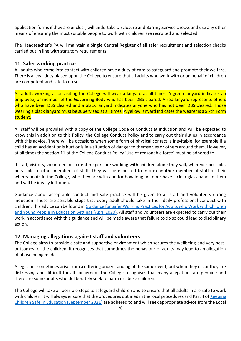application forms if they are unclear, will undertake Disclosure and Barring Service checks and use any other means of ensuring the most suitable people to work with children are recruited and selected.

The Headteacher's PA will maintain a Single Central Register of all safer recruitment and selection checks carried out in line with statutory requirements.

#### **11. Safer working practice**

All adults who come into contact with children have a duty of care to safeguard and promote their welfare. There is a legal duty placed upon the College to ensure that all adults who work with or on behalf of children are competent and safe to do so.

All adults working at or visiting the College will wear a lanyard at all times. A green lanyard indicates an employee, or member of the Governing Body who has been DBS cleared. A red lanyard represents others who have been DBS cleared and a black lanyard indicates anyone who has not been DBS cleared. Those wearing a black lanyard must be supervised at all times. A yellow lanyard indicates the wearer is a Sixth Form student.

All staff will be provided with a copy of the College Code of Conduct at induction and will be expected to know this in addition to this Policy, the College Conduct Policy and to carry out their duties in accordance with this advice. There will be occasions when some form of physical contact is inevitable, for example if a child has an accident or is hurt or is in a situation of danger to themselves or others around them. However, at all times the section 11 of the College Conduct Policy 'Use of reasonable force' must be adhered to.

If staff, visitors, volunteers or parent helpers are working with children alone they will, wherever possible, be visible to other members of staff. They will be expected to inform another member of staff of their whereabouts in the College, who they are with and for how long. All door have a clear glass panel in them and will be ideally left open.

Guidance about acceptable conduct and safe practice will be given to all staff and volunteers during induction. These are sensible steps that every adult should take in their daily professional conduct with children. This advice can be found i[n Guidance for Safer Working Practices for Adults who Work with Children](file:///C:/Users/User/OneDrive/Martin%20Jobs%20Sept%202018%20Onwards/Luke%20and%20St%20Francis/Policies/Autumn%20Term%202021/Safeguarding/gswp-covid-addendum-april-2020-final-2.pdf)  [and Young People in Education Settings \(April 2020\).](file:///C:/Users/User/OneDrive/Martin%20Jobs%20Sept%202018%20Onwards/Luke%20and%20St%20Francis/Policies/Autumn%20Term%202021/Safeguarding/gswp-covid-addendum-april-2020-final-2.pdf) All staff and volunteers are expected to carry out their work in accordance with this guidance and will be made aware that failure to do so could lead to disciplinary action.

### **12. Managing allegations against staff and volunteers**

The College aims to provide a safe and supportive environment which secures the wellbeing and very best outcomes for the children; it recognises that sometimes the behaviour of adults may lead to an allegation of abuse being made.

Allegations sometimes arise from a differing understanding of the same event, but when they occur they are distressing and difficult for all concerned. The College recognises that many allegations are genuine and there are some adults who deliberately seek to harm or abuse children.

The College will take all possible steps to safeguard children and to ensure that all adults in are safe to work with children; it will always ensure that the procedures outlined in the local procedures and Part 4 of Keeping [Children Safe in Education \(September 2021\)](https://www.gov.uk/government/publications/keeping-children-safe-in-education--2) are adhered to and will seek appropriate advice from the Local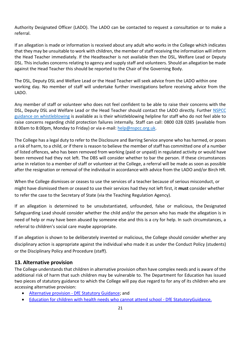Authority Designated Officer (LADO). The LADO can be contacted to request a consultation or to make a referral.

If an allegation is made or information is received about any adult who works in the College which indicates that they may be unsuitable to work with children, the member of staff receiving the information will inform the Head Teacher immediately. If the Headteacher is not available then the DSL, Welfare Lead or Deputy DSL. This includes concerns relating to agency and supply staff and volunteers. Should an allegation be made against the Head Teacher this should be reported to the Chair of the Governing Body.

The DSL, Deputy DSL and Welfare Lead or the Head Teacher will seek advice from the LADO within one working day. No member of staff will undertake further investigations before receiving advice from the LADO.

Any member of staff or volunteer who does not feel confident to be able to raise their concerns with the DSL, Deputy DSL and Welfare Lead or the Head Teacher should contact the LADO directly. Further [NSPCC](https://www.nspcc.org.uk/keeping-children-safe/reporting-abuse/dedicated-helplines/whistleblowing-advice-line/)  [guidance on whistleblowing](https://www.nspcc.org.uk/keeping-children-safe/reporting-abuse/dedicated-helplines/whistleblowing-advice-line/) is available as is their whistleblowing helpline for staff who do not feel able to raise concerns regarding child protection failures internally. Staff can call: 0800 028 0285 (available from 8:00am to 8:00pm, Monday to Friday) or via e-mail: [help@nspcc.org.uk.](mailto:help@nspcc.org.uk)

The College has a legal duty to refer to the Disclosure and Barring Service anyone who has harmed, or poses a risk of harm, to a child, or if there is reason to believe the member of staff has committed one of a number of listed offences, who has been removed from working (paid or unpaid) in regulated activity or would have been removed had they not left. The DBS will consider whether to bar the person. If these circumstances arise in relation to a member of staff or volunteer at the College, a referral will be made as soon as possible after the resignation or removal of the individual in accordance with advice from the LADO and/or Birch HR.

When the College dismisses or ceases to use the services of a teacher because of serious misconduct, or might have dismissed them or ceased to use their services had they not left first, it **must** consider whether to refer the case to the Secretary of State (via the Teaching Regulation Agency).

If an allegation is determined to be unsubstantiated, unfounded, false or malicious, the Designated Safeguarding Lead should consider whether the child and/or the person who has made the allegation is in need of help or may have been abused by someone else and this is a cry for help. In such circumstances, a referral to children's social care maybe appropriate.

If an allegation is shown to be deliberately invented or malicious, the College should consider whether any disciplinary action is appropriate against the individual who made it as under the Conduct Policy (students) or the Disciplinary Policy and Procedure (staff).

### **13. Alternative provision**

The College understands that children in alternative provision often have complex needs and is aware of the additional risk of harm that such children may be vulnerable to. The Department for Education has issued two pieces of statutory guidance to which the College will pay due regard to for any of its children who are accessing alternative provision:

- [Alternative](https://www.gov.uk/government/publications/alternative-provision) provision DfE Statutory Guidance; and
- [Education for children with health needs who cannot attend school -](https://www.gov.uk/government/publications/education-for-children-with-health-needs-who-cannot-attend-school) DfE Statutor[yGuidance.](https://www.gov.uk/government/publications/education-for-children-with-health-needs-who-cannot-attend-school)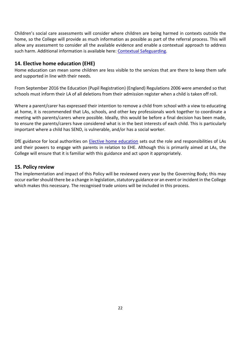Children's social care assessments will consider where children are being harmed in contexts outside the home, so the College will provide as much information as possible as part of the referral process. This will allow any assessment to consider all the available evidence and enable a contextual approach to address such harm. Additional information is available here: [Contextual](https://contextualsafeguarding.org.uk/about/what-is-contextual-safeguarding) [Safeguarding.](https://contextualsafeguarding.org.uk/about/what-is-contextual-safeguarding)

### **14. Elective home education (EHE)**

Home education can mean some children are less visible to the services that are there to keep them safe and supported in line with their needs.

From September 2016 [the Education \(Pupil Registration\) \(England\) Regulations](https://www.legislation.gov.uk/uksi/2016/792/note/made) [2006 were amended s](https://www.legislation.gov.uk/uksi/2016/792/note/made)o that schools must inform their LA of all deletions from their admission register when a child is taken off roll.

Where a parent/carer has expressed their intention to remove a child from school with a view to educating at home, it is recommended that LAs, schools, and other key professionals work together to coordinate a meeting with parents/carers where possible. Ideally, this would be before a final decision has been made, to ensure the parents/carers have considered what is in the best interests of each child. This is particularly important where a child has SEND, is vulnerable, and/or has a social worker.

DfE guidance for local authorities on **[Elective home education](https://www.gov.uk/government/publications/elective-home-education)** sets out the role and responsibilities of LAs and their powers to engage with parents in relation to EHE. Although this is primarily aimed at LAs, the College will ensure that it is familiar with this guidance and act upon it appropriately.

#### **15. Policy review**

The implementation and impact of this Policy will be reviewed every year by the Governing Body; this may occur earlier should there be a change in legislation, statutory guidance or an event or incident in the College which makes this necessary. The recognised trade unions will be included in this process.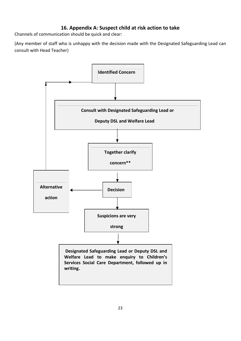### **16. Appendix A: Suspect child at risk action to take**

Channels of communication should be quick and clear:

(Any member of staff who is unhappy with the decision made with the Designated Safeguarding Lead can consult with Head Teacher)

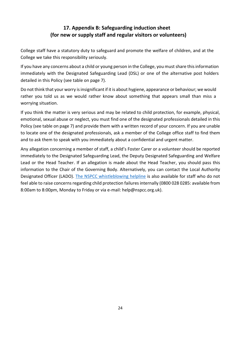## **17. Appendix B: Safeguarding induction sheet (for new or supply staff and regular visitors or volunteers)**

College staff have a statutory duty to safeguard and promote the welfare of children, and at the College we take this responsibility seriously.

If you have any concerns about a child or young person in the College, you must share this information immediately with the Designated Safeguarding Lead (DSL) or one of the alternative post holders detailed in this Policy (see table on page 7).

Do not think that your worry is insignificant if it is about hygiene, appearance or behaviour; we would rather you told us as we would rather know about something that appears small than miss a worrying situation.

If you think the matter is very serious and may be related to child protection, for example, physical, emotional, sexual abuse or neglect, you must find one of the designated professionals detailed in this Policy (see table on page 7) and provide them with a written record of your concern. If you are unable to locate one of the designated professionals, ask a member of the College office staff to find them and to ask them to speak with you immediately about a confidential and urgent matter.

Any allegation concerning a member of staff, a child's Foster Carer or a volunteer should be reported immediately to the Designated Safeguarding Lead, the Deputy Designated Safeguarding and Welfare Lead or the Head Teacher. If an allegation is made about the Head Teacher, you should pass this information to the Chair of the Governing Body. Alternatively, you can contact the Local Authority Designated Officer (LADO). [The NSPCC whistleblowing helpline](https://www.nspcc.org.uk/keeping-children-safe/reporting-abuse/dedicated-helplines/whistleblowing-advice-line/) is also available for staff who do not feel able to raise concerns regarding child protection failures internally (0800 028 0285: available from 8:00am to 8:00pm, Monday to Friday or via e-mail: help@nspcc.org.uk).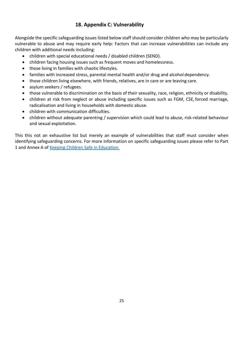### **18. Appendix C: Vulnerability**

Alongside the specific safeguarding issues listed below staff should consider children who may be particularly vulnerable to abuse and may require early help: Factors that can increase vulnerabilities can include any children with additional needs including:

- children with special educational needs / disabled children (SEND).
- children facing housing issues such as frequent moves and homelessness.
- those living in families with chaotic lifestyles.
- families with increased stress, parental mental health and/or drug and alcohol dependency.
- those children living elsewhere, with friends, relatives, are in care or are leaving care.
- asylum seekers / refugees.
- those vulnerable to discrimination on the basis of their sexuality, race, religion, ethnicity or disability.
- children at risk from neglect or abuse including specific issues such as FGM, CSE,forced marriage, radicalisation and living in households with domestic abuse.
- children with communication difficulties.
- children without adequate parenting / supervision which could lead to abuse, risk-related behaviour and sexual exploitation.

This this not an exhaustive list but merely an example of vulnerabilities that staff must consider when identifying safeguarding concerns. For more information on specific safeguarding issues please refer to Part 1 and Annex A of [Keeping Children Safe in Education.](https://www.gov.uk/government/publications/keeping-children-safe-in-education--2)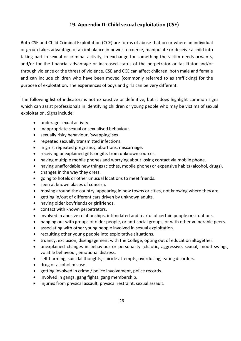### **19. Appendix D: Child sexual exploitation (CSE)**

Both CSE and Child Criminal Exploitation (CCE) are forms of abuse that occur where an individual or group takes advantage of an imbalance in power to coerce, manipulate or deceive a child into taking part in sexual or criminal activity, in exchange for something the victim needs orwants, and/or for the financial advantage or increased status of the perpetrator or facilitator and/or through violence or the threat of violence. CSE and CCE can affect children, both male and female and can include children who have been moved (commonly referred to as trafficking) for the purpose of exploitation. The experiences of boys and girls can be very different.

The following list of indicators is not exhaustive or definitive, but it does highlight common signs which can assist professionals in identifying children or young people who may be victims of sexual exploitation. Signs include:

- underage sexual activity.
- inappropriate sexual or sexualised behaviour.
- sexually risky behaviour, 'swapping' sex.
- repeated sexually transmitted infections.
- in girls, repeated pregnancy, abortions, miscarriage.
- receiving unexplained gifts or gifts from unknown sources.
- having multiple mobile phones and worrying about losing contact via mobile phone.
- having unaffordable new things (clothes, mobile phone) or expensive habits (alcohol, drugs).
- changes in the way they dress.
- going to hotels or other unusual locations to meet friends.
- seen at known places of concern.
- moving around the country, appearing in new towns or cities, not knowing where they are.
- getting in/out of different cars driven by unknown adults.
- having older boyfriends or girlfriends.
- contact with known perpetrators.
- involved in abusive relationships, intimidated and fearful of certain people or situations.
- hanging out with groups of older people, or anti-social groups, or with other vulnerable peers.
- associating with other young people involved in sexual exploitation.
- recruiting other young people into exploitative situations.
- truancy, exclusion, disengagement with the College, opting out of education altogether.
- unexplained changes in behaviour or personality (chaotic, aggressive, sexual, mood swings, volatile behaviour, emotional distress.
- self-harming, suicidal thoughts, suicide attempts, overdosing, eating disorders.
- drug or alcohol misuse.
- getting involved in crime / police involvement, police records.
- involved in gangs, gang fights, gang membership.
- injuries from physical assault, physical restraint, sexual assault.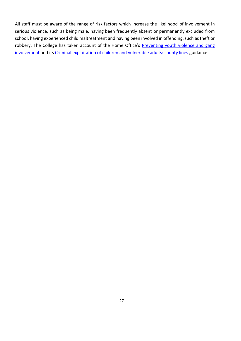All staff must be aware of the range of risk factors which increase the likelihood of involvement in serious violence, such as being male, having been frequently absent or permanently excluded from school, having experienced child maltreatment and having been involved in offending, such as theft or robbery. The College has taken account of the Home Office's [Preventing youth violence and gang](https://www.gov.uk/government/publications/advice-to-schools-and-colleges-on-gangs-and-youth-violence) [involvement](https://www.gov.uk/government/publications/advice-to-schools-and-colleges-on-gangs-and-youth-violence) and its [Criminal exploitation of children and vulnerable adults: county lines](https://www.gov.uk/government/publications/criminal-exploitation-of-children-and-vulnerable-adults-county-lines) guidance.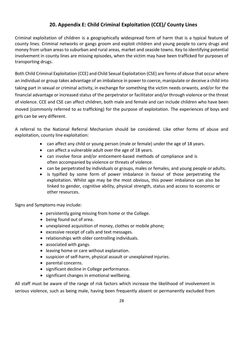## **20. Appendix E: Child Criminal Exploitation (CCE)/ County Lines**

Criminal exploitation of children is a geographically widespread form of harm that is a typical feature of county lines. Criminal networks or gangs groom and exploit children and young people to carry drugs and money from urban areas to suburban and rural areas, market and seaside towns. Key to identifying potential involvement in county lines are missing episodes, when the victim may have been trafficked for purposes of transporting drugs.

Both Child Criminal Exploitation (CCE) and Child Sexual Exploitation (CSE) are forms of abuse that occur where an individual or group takes advantage of an imbalance in power to coerce, manipulate or deceive a child into taking part in sexual or criminal activity, in exchange for something the victim needs orwants, and/or for the financial advantage or increased status of the perpetrator or facilitator and/or through violence or the threat of violence. CCE and CSE can affect children, both male and female and can include children who have been moved (commonly referred to as trafficking) for the purpose of exploitation. The experiences of boys and girls can be very different.

A referral to the National Referral Mechanism should be considered. Like other forms of abuse and exploitation, county line exploitation:

- can affect any child or young person (male or female) under the age of 18 years.
- can affect a vulnerable adult over the age of 18 years.
- can involve force and/or enticement-based methods of compliance and is often accompanied by violence or threats of violence.
- can be perpetrated by individuals or groups, males or females, and young people or adults.
- is typified by some form of power imbalance in favour of those perpetrating the exploitation. Whilst age may be the most obvious, this power imbalance can also be linked to gender, cognitive ability, physical strength, status and access to economic or other resources.

Signs and Symptoms may include:

- persistently going missing from home or the College.
- being found out of area.
- unexplained acquisition of money, clothes or mobile phone;
- excessive receipt of calls and text messages.
- relationships with older controlling individuals.
- associated with gangs.
- leaving home or care without explanation.
- suspicion of self-harm, physical assault or unexplained injuries.
- parental concerns.
- significant decline in College performance.
- significant changes in emotional wellbeing.

All staff must be aware of the range of risk factors which increase the likelihood of involvement in serious violence, such as being male, having been frequently absent or permanently excluded from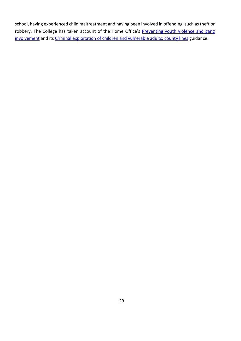school, having experienced child maltreatment and having been involved in offending, such as theft or robbery. The College has taken account of the Home Office's [Preventing youth violence and gang](https://www.gov.uk/government/publications/advice-to-schools-and-colleges-on-gangs-and-youth-violence) [involvement](https://www.gov.uk/government/publications/advice-to-schools-and-colleges-on-gangs-and-youth-violence) and its [Criminal exploitation of children and vulnerable adults: county lines](https://www.gov.uk/government/publications/criminal-exploitation-of-children-and-vulnerable-adults-county-lines) guidance.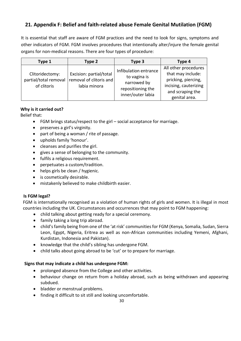## **21. Appendix F: Belief and faith-related abuse Female Genital Mutilation (FGM)**

It is essential that staff are aware of FGM practices and the need to look for signs, symptoms and other indicators of FGM. FGM involves procedures that intentionally alter/injure the female genital organs for non-medical reasons. There are four types of procedure:

| Type 1                                                  | Type 2                                                             | Type 3                                                                                         | Type 4                                                                                                                         |
|---------------------------------------------------------|--------------------------------------------------------------------|------------------------------------------------------------------------------------------------|--------------------------------------------------------------------------------------------------------------------------------|
| Clitoridectomy:<br>partial/total removal<br>of clitoris | Excision: partial/total<br>removal of clitoris and<br>labia minora | Infibulation entrance<br>to vagina is<br>narrowed by<br>repositioning the<br>inner/outer labia | All other procedures<br>that may include:<br>pricking, piercing,<br>incising, cauterizing<br>and scraping the<br>genital area. |

#### **Why is it carried out?**

Belief that:

- FGM brings status/respect to the girl social acceptance for marriage.
- preserves a girl's virginity.
- part of being a woman / rite of passage.
- upholds family 'honour'.
- cleanses and purifies the girl.
- gives a sense of belonging to the community.
- fulfils a religious requirement.
- perpetuates a custom/tradition.
- helps girls be clean / hygienic.
- is cosmetically desirable.
- mistakenly believed to make childbirth easier.

#### **Is FGM legal?**

FGM is internationally recognised as a violation of human rights of girls and women. It is illegal in most countries including the UK. Circumstances and occurrences that may point to FGM happening:

- child talking about getting ready for a special ceremony.
- family taking a long trip abroad.
- child's family being from one of the 'at risk' communities for FGM (Kenya, Somalia, Sudan, Sierra Leon, Egypt, Nigeria, Eritrea as well as non-African communities including Yemeni, Afghani, Kurdistan, Indonesia and Pakistan).
- knowledge that the child's sibling has undergone FGM.
- child talks about going abroad to be 'cut' or to prepare for marriage.

#### **Signs that may indicate a child has undergone FGM:**

- prolonged absence from the College and other activities.
- behaviour change on return from a holiday abroad, such as being withdrawn and appearing subdued.
- bladder or menstrual problems.
- finding it difficult to sit still and looking uncomfortable.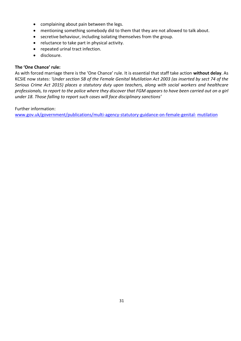- complaining about pain between the legs.
- mentioning something somebody did to them that they are not allowed to talk about.
- secretive behaviour, including isolating themselves from the group.
- reluctance to take part in physical activity.
- repeated urinal tract infection.
- disclosure.

#### **The 'One Chance' rule:**

As with forced marriage there is the 'One Chance' rule. It is essential that staff take action **without delay**. As KCSIE now states: *'Under section 5B of the Female Genital Mutilation Act 2003 (as inserted by sect 74 of the Serious Crime Act 2015) places a statutory duty upon teachers, along with social workers and healthcare professionals, to report to the police where they discover that FGM appears to have been carried out on a girl under 18. Those falling to report such cases will face disciplinary sanctions'*

Further information:

[www.gov.uk/government/publications/multi-agency-statutory-guidance-on-female-genital-](http://www.gov.uk/government/publications/multi-agency-statutory-guidance-on-female-genital-mutilation) [mutilation](http://www.gov.uk/government/publications/multi-agency-statutory-guidance-on-female-genital-mutilation)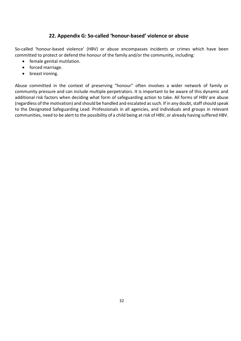### **22. Appendix G: So-called 'honour-based' violence or abuse**

So-called 'honour-based violence' (HBV) or abuse encompasses incidents or crimes which have been committed to protect or defend the honour of the family and/or the community, including:

- female genital mutilation.
- forced marriage.
- breast ironing.

Abuse committed in the context of preserving "honour" often involves a wider network of family or community pressure and can include multiple perpetrators. It is important to be aware of this dynamic and additional risk factors when deciding what form of safeguarding action to take. All forms of HBV are abuse (regardless of the motivation) and should be handled and escalated as such. If in any doubt, staff should speak to the Designated Safeguarding Lead. Professionals in all agencies, and individuals and groups in relevant communities, need to be alert to the possibility of a child being at risk of HBV, or already having suffered HBV.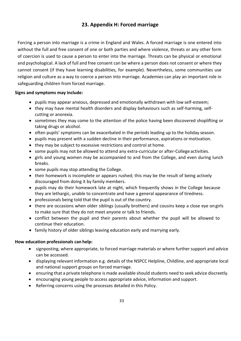## **23. Appendix H: Forced marriage**

Forcing a person into marriage is a crime in England and Wales. A forced marriage is one entered into without the full and free consent of one or both parties and where violence, threats or any other form of coercion is used to cause a person to enter into the marriage. Threats can be physical or emotional and psychological. A lack of full and free consent can be where a person does not consent or where they cannot consent (if they have learning disabilities, for example). Nevertheless, some communities use religion and culture as a way to coerce a person into marriage. Academies can play an important role in safeguarding children from forced marriage.

#### **Signs and symptoms may include:**

- pupils may appear anxious, depressed and emotionally withdrawn with low self-esteem;
- they may have mental health disorders and display behaviours such as self-harming, selfcutting or anorexia.
- sometimes they may come to the attention of the police having been discovered shoplifting or taking drugs or alcohol.
- often pupils' symptoms can be exacerbated in the periods leading up to the holiday season.
- pupils may present with a sudden decline in their performance, aspirations or motivation.
- they may be subject to excessive restrictions and control at home.
- some pupils may not be allowed to attend any extra-curricular or after-College activities.
- girls and young women may be accompanied to and from the College, and even during lunch breaks.
- some pupils may stop attending the College.
- their homework is incomplete or appears rushed; this may be the result of being actively discouraged from doing it by family members.
- pupils may do their homework late at night, which frequently shows in the College because they are lethargic, unable to concentrate and have a general appearance of tiredness.
- professionals being told that the pupil is out of the country.
- there are occasions when older siblings (usually brothers) and cousins keep a close eye ongirls to make sure that they do not meet anyone or talk to friends.
- conflict between the pupil and their parents about whether the pupil will be allowed to continue their education.
- family history of older siblings leaving education early and marrying early.

#### **How education professionals can help:**

- signposting, where appropriate, to forced marriage materials or where further support and advice can be accessed.
- displaying relevant information e.g. details of the NSPCC Helpline, Childline, and appropriate local and national support groups on forced marriage.
- ensuring that a private telephone is made available should students need to seek advice discreetly.
- encouraging young people to access appropriate advice, information and support.
- Referring concerns using the processes detailed in this Policy.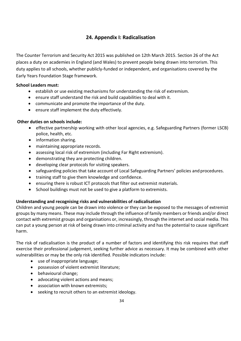### **24. Appendix I: Radicalisation**

The Counter Terrorism and Security Act 2015 was published on 12th March 2015. Section 26 of the Act places a duty on academies in England (and Wales) to prevent people being drawn into terrorism. This duty applies to all schools, whether publicly-funded or independent, and organisations covered by the Early Years Foundation Stage framework.

#### **School Leaders must:**

- establish or use existing mechanisms for understanding the risk of extremism.
- ensure staff understand the risk and build capabilities to deal with it.
- communicate and promote the importance of the duty.
- ensure staff implement the duty effectively.

#### **Other duties on schools include:**

- effective partnership working with other local agencies, e.g. Safeguarding Partners (former LSCB) police, health, etc.
- information sharing.
- maintaining appropriate records.
- assessing local risk of extremism (including Far Right extremism).
- demonstrating they are protecting children.
- developing clear protocols for visiting speakers.
- safeguarding policies that take account of Local Safeguarding Partners' policies and procedures.
- training staff to give them knowledge and confidence.
- ensuring there is robust ICT protocols that filter out extremist materials.
- School buildings must not be used to give a platform to extremists.

#### **Understanding and recognising risks and vulnerabilities of radicalisation**

Children and young people can be drawn into violence or they can be exposed to the messages of extremist groups by many means. These may include through the influence of family members or friends and/or direct contact with extremist groups and organisations or, increasingly, through the internet and social media. This can put a young person at risk of being drawn into criminal activity and has the potential to cause [significant](http://trixresources.proceduresonline.com/nat_key/keywords/significant_harm.html)  [harm.](http://trixresources.proceduresonline.com/nat_key/keywords/significant_harm.html)

The risk of radicalisation is the product of a number of factors and identifying this risk requires that staff exercise their professional judgement, seeking further advice as necessary. It may be combined with other vulnerabilities or may be the only risk identified. Possible indicators include:

- use of inappropriate language;
- possession of violent extremist literature;
- behavioural change;
- advocating violent actions and means;
- association with known extremists;
- seeking to recruit others to an extremist ideology.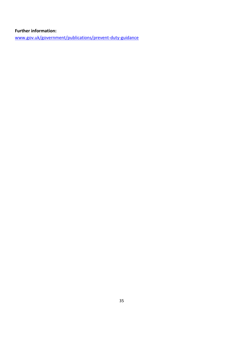#### **Further information:**

[www.gov.uk/government/publications/prevent-duty-guidance](http://www.gov.uk/government/publications/prevent-duty-guidance)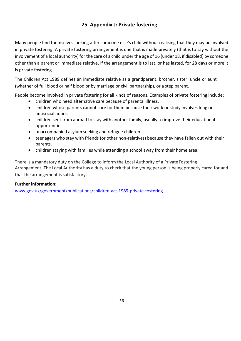## **25. Appendix J: Private fostering**

Many people find themselves looking after someone else's child without realising that they may be involved in private fostering. A private fostering arrangement is one that is made privately (that is to say without the involvement of a local authority) for the care of a child under the age of 16 (under 18, if disabled) by someone other than a parent or immediate relative. If the arrangement is to last, or has lasted, for 28 days or more it is private fostering.

The Children Act 1989 defines an immediate relative as a grandparent, brother, sister, uncle or aunt (whether of full blood or half blood or by marriage or civil partnership), or a step parent.

People become involved in private fostering for all kinds of reasons. Examples of private fostering include:

- children who need alternative care because of parental illness.
- children whose parents cannot care for them because their work or study involves long or antisocial hours.
- children sent from abroad to stay with another family, usually to improve their educational opportunities.
- unaccompanied asylum seeking and refugee children.
- teenagers who stay with friends (or other non-relatives) because they have fallen out with their parents.
- children staying with families while attending a school away from their home area.

There is a mandatory duty on the College to inform the Local Authority of a Private Fostering Arrangement. The Local Authority has a duty to check that the young person is being properly cared for and that the arrangement is satisfactory.

#### **Further information:**

[www.gov.uk/government/publications/children-act-1989-private-fostering](http://www.gov.uk/government/publications/children-act-1989-private-fostering)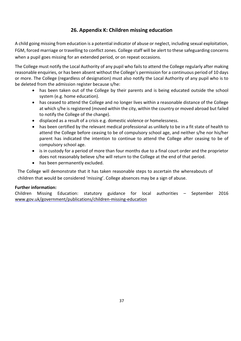## **26. Appendix K: Children missing education**

A child going missing from education is a potential indicator of abuse or neglect, including sexual exploitation, FGM, forced marriage or travelling to conflict zones. College staff will be alert to these safeguarding concerns when a pupil goes missing for an extended period, or on repeat occasions.

The College must notify the Local Authority of any pupil who fails to attend the College regularly after making reasonable enquiries, or has been absent without the College's permission for a continuous period of 10 days or more. The College (regardless of designation) must also notify the Local Authority of any pupil who is to be deleted from the admission register because s/he:

- has been taken out of the College by their parents and is being educated outside the school system (e.g. home education).
- has ceased to attend the College and no longer lives within a reasonable distance of the College at which s/he is registered (moved within the city, within the country or moved abroad but failed to notify the College of the change).
- displaced as a result of a crisis e.g. domestic violence or homelessness.
- has been certified by the relevant medical professional as unlikely to be in a fit state of health to attend the College before ceasing to be of compulsory school age, and neither s/he nor his/her parent has indicated the intention to continue to attend the College after ceasing to be of compulsory school age.
- is in custody for a period of more than four months due to a final court order and the proprietor does not reasonably believe s/he will return to the College at the end of that period.
- has been permanently excluded.

The College will demonstrate that it has taken reasonable steps to ascertain the whereabouts of children that would be considered 'missing'. College absences may be a sign of abuse.

#### **Further information:**

Children Missing Education: statutory guidance for local authorities – September 2016 [www.gov.uk/government/publications/children-missing-education](http://www.gov.uk/government/publications/children-missing-education)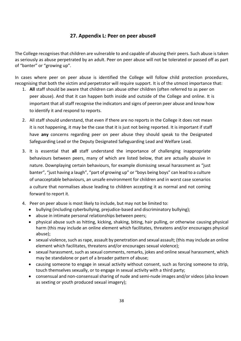### **27. Appendix L: Peer on peer abuse#**

The College recognises that children are vulnerable to and capable of abusing their peers. Such abuse is taken as seriously as abuse perpetrated by an adult. Peer on peer abuse will not be tolerated or passed off as part of "banter" or "growing up".

In cases where peer on peer abuse is identified the College will follow child protection procedures, recognising that both the victim and perpetrator will require support. It is of the utmost importance that:

- 1. **All** staff should be aware that children can abuse other children (often referred to as peer on peer abuse). And that it can happen both inside and outside of the College and online. It is important that all staff recognise the indicators and signs of peeron peer abuse and know how to identify it and respond to reports.
- 2. All staff should understand, that even if there are no reports in the College it does not mean it is not happening, it may be the case that it is just not being reported. It is important if staff have **any** concerns regarding peer on peer abuse they should speak to the Designated Safeguarding Lead or the Deputy Designated Safeguarding Lead and Welfare Lead.
- 3. It is essential that **all** staff understand the importance of challenging inappropriate behaviours between peers, many of which are listed below, that are actually abusive in nature. Downplaying certain behaviours, for example dismissing sexual harassment as "just banter", "just having a laugh", "part of growing up" or "boys being boys" can lead to a culture of unacceptable behaviours, an unsafe environment for children and in worst case scenarios a culture that normalises abuse leading to children accepting it as normal and not coming forward to report it.
- 4. Peer on peer abuse is most likely to include, but may not be limited to:
	- bullying (including cyberbullying, prejudice-based and discriminatory bullying);
	- abuse in intimate personal relationships between peers;
	- physical abuse such as hitting, kicking, shaking, biting, hair pulling, or otherwise causing physical harm (this may include an online element which facilitates, threatens and/or encourages physical abuse);
	- $\bullet$  sexual violence, such as rape, assault by penetration and sexual assault; (this may include an online element which facilitates, threatens and/or encourages sexual violence);
	- sexual harassment, such as sexual comments, remarks, jokes and online sexual harassment, which may be standalone or part of a broader pattern of abuse;
	- causing someone to engage in sexual activity without consent, such as forcing someone to strip, touch themselves sexually, or to engage in sexual activity with a third party;
	- consensual and non-consensual sharing of nude and semi-nude images and/or videos (also known as sexting or youth produced sexual imagery);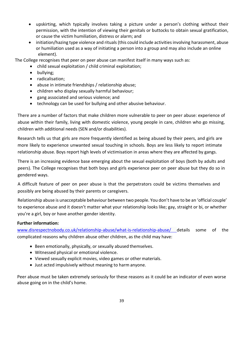- upskirting, which typically involves taking a picture under a person's clothing without their permission, with the intention of viewing their genitals or buttocks to obtain sexual gratification, or cause the victim humiliation, distress or alarm; and
- initiation/hazing type violence and rituals (this could include activities involving harassment, abuse or humiliation used as a way of initiating a person into a group and may also include an online element).

The College recognises that peer on peer abuse can manifest itself in many ways such as:

- child sexual exploitation / child criminal exploitation;
- bullying;
- radicalisation;
- abuse in intimate friendships / relationship abuse;
- children who display sexually harmful behaviour;
- gang associated and serious violence; and
- technology can be used for bullying and other abusive behaviour.

There are a number of factors that make children more vulnerable to peer on peer abuse: experience of abuse within their family, living with domestic violence, young people in care, children who go missing, children with additional needs (SEN and/or disabilities).

Research tells us that girls are more frequently identified as being abused by their peers, and girls are more likely to experience unwanted sexual touching in schools. Boys are less likely to report intimate relationship abuse. Boys report high levels of victimisation in areas where they are affected by gangs.

There is an increasing evidence base emerging about the sexual exploitation of boys (both by adults and peers). The College recognises that both boys and girls experience peer on peer abuse but they do so in gendered ways.

A difficult feature of peer on peer abuse is that the perpetrators could be victims themselves and possibly are being abused by their parents or caregivers.

Relationship abuse is unacceptable behaviour between two people. You don't have to be an 'official couple' to experience abuse and it doesn't matter what your relationship looks like; gay, straight or bi, or whether you're a girl, boy or have another gender identity.

#### **Further information:**

[www.disrespectnobody.co.uk/relationship-abuse/what-is-relationship-abuse/](http://www.disrespectnobody.co.uk/relationship-abuse/what-is-relationship-abuse/) details some of the complicated reasons why children abuse other children, as the child may have:

- Been emotionally, physically, or sexually abused themselves.
- Witnessed physical or emotional violence.
- Viewed sexually explicit movies, video games or other materials.
- Just acted impulsively without meaning to harm anyone.

Peer abuse must be taken extremely seriously for these reasons as it could be an indicator of even worse abuse going on in the child's home.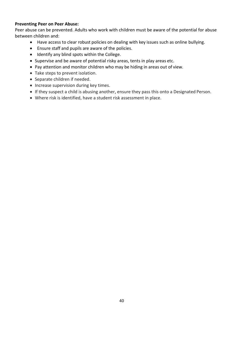#### **Preventing Peer on Peer Abuse:**

Peer abuse can be prevented. Adults who work with children must be aware of the potential for abuse between children and:

- Have access to clear robust policies on dealing with key issues such as online bullying.
- Ensure staff and pupils are aware of the policies.
- Identify any blind spots within the College.
- Supervise and be aware of potential risky areas, tents in play areas etc.
- Pay attention and monitor children who may be hiding in areas out of view.
- Take steps to prevent isolation.
- Separate children if needed.
- Increase supervision during key times.
- If they suspect a child is abusing another, ensure they pass this onto a Designated Person.
- Where risk is identified, have a student risk assessment in place.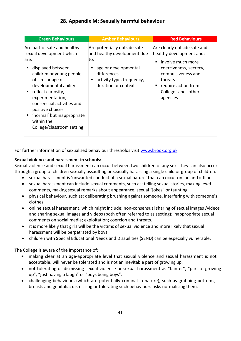## **28. Appendix M: Sexually harmful behaviour**

| <b>Green Behaviours</b>                                                                                                                                                                                                                                                                                                                             | <b>Amber Behaviours</b>                                                                                                                                                 | <b>Red Behaviours</b>                                                                                                                                                                                 |
|-----------------------------------------------------------------------------------------------------------------------------------------------------------------------------------------------------------------------------------------------------------------------------------------------------------------------------------------------------|-------------------------------------------------------------------------------------------------------------------------------------------------------------------------|-------------------------------------------------------------------------------------------------------------------------------------------------------------------------------------------------------|
| Are part of safe and healthy<br>sexual development which<br>lare:<br>displayed between<br>٠<br>children or young people<br>of similar age or<br>developmental ability<br>reflect curiosity,<br>п<br>experimentation,<br>consensual activities and<br>positive choices<br>'normal' but inappropriate<br>٠<br>within the<br>College/classroom setting | Are potentially outside safe<br>and healthy development due<br>to:<br>age or developmental<br>п<br>differences<br>activity type, frequency,<br>п<br>duration or context | Are clearly outside safe and<br>healthy development and:<br>involve much more<br>٠<br>coerciveness, secrecy,<br>compulsiveness and<br>threats<br>require action from<br>College and other<br>agencies |

For further information of sexualised behaviour thresholds visit [www.brook.org.uk.](http://www.brook.org.uk/)

#### **Sexual violence and harassment in schools:**

Sexual violence and sexual harassment can occur between two children of any sex. They can also occur through a group of children sexually assaulting or sexually harassing a single child or group of children.

- sexual harassment is 'unwanted conduct of a sexual nature' that can occur online and offline.
- sexual harassment can include sexual comments, such as: telling sexual stories, making lewd comments, making sexual remarks about appearance, sexual "jokes" or taunting.
- physical behaviour, such as: deliberating brushing against someone, interfering with someone's clothes.
- online sexual harassment, which might include: non-consensual sharing of sexual images /videos and sharing sexual images and videos (both often referred to as sexting); inappropriate sexual comments on social media; exploitation; coercion and threats.
- it is more likely that girls will be the victims of sexual violence and more likely that sexual harassment will be perpetrated by boys.
- children with Special Educational Needs and Disabilities (SEND) can be especially vulnerable.

The College is aware of the importance of:

- making clear at an age-appropriate level that sexual violence and sexual harassment is not acceptable, will never be tolerated and is not an inevitable part of growing up.
- not tolerating or dismissing sexual violence or sexual harassment as "banter", "part of growing up", "just having a laugh" or "boys being boys".
- challenging behaviours (which are potentially criminal in nature), such as grabbing bottoms, breasts and genitalia; dismissing or tolerating such behaviours risks normalising them.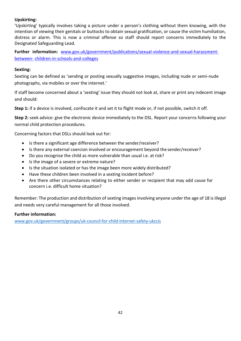#### **Upskirting:**

'Upskirting' typically involves taking a picture under a person's clothing without them knowing, with the intention of viewing their genitals or buttocks to obtain sexual gratification, or cause the victim humiliation, distress or alarm. This is now a criminal offense so staff should report concerns immediately to the Designated Safeguarding Lead.

**Further information:** [www.gov.uk/government/publications/sexual-violence-and-sexual-harassment](http://www.gov.uk/government/publications/sexual-violence-and-sexual-harassment-between-children-in-schools-and-colleges)[between-](http://www.gov.uk/government/publications/sexual-violence-and-sexual-harassment-between-children-in-schools-and-colleges) [children-in-schools-and-colleges](http://www.gov.uk/government/publications/sexual-violence-and-sexual-harassment-between-children-in-schools-and-colleges)

#### **Sexting:**

Sexting can be defined as 'sending or posting sexually suggestive images, including nude or semi-nude photographs, via mobiles or over the internet.'

If staff become concerned about a 'sexting' issue they should not look at, share or print any indecent image and should:

**Step 1:** if a device is involved, confiscate it and set it to flight mode or, if not possible, switch it off.

**Step 2:** seek advice: give the electronic device immediately to the DSL. Report your concerns following your normal child protection procedures.

Concerning factors that DSLs should look out for:

- Is there a significant age difference between the sender/receiver?
- Is there any external coercion involved or encouragement beyond the sender/receiver?
- Do you recognise the child as more vulnerable than usual i.e. at risk?
- Is the image of a severe or extreme nature?
- Is the situation isolated or has the image been more widely distributed?
- Have these children been involved in a sexting incident before?
- Are there other circumstances relating to either sender or recipient that may add cause for concern i.e. difficult home situation?

Remember: The production and distribution of sexting images involving anyone under the age of 18 is illegal and needs very careful management for all those involved.

#### **Further information:**

www.gov.uk/government/groups/uk-council-for-child-internet-safety-ukccis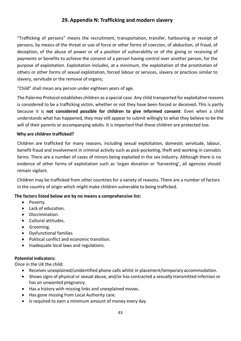### **29. Appendix N: Trafficking and modern slavery**

"Trafficking of persons" means the recruitment, transportation, transfer, harbouring or receipt of persons, by means of the threat or use of force or other forms of coercion, of abduction, of fraud, of deception, of the abuse of power or of a position of vulnerability or of the giving or receiving of payments or benefits to achieve the consent of a person having control over another person, for the purpose of exploitation. Exploitation includes, at a minimum, the exploitation of the prostitution of others or other forms of sexual exploitation, forced labour or services, slavery or practices similar to slavery, servitude or the removal of organs;

"Child" shall mean any person under eighteen years of age.

The Palermo Protocol establishes children as a special case. Any child transported for exploitative reasons is considered to be a trafficking victim, whether or not they have been forced or deceived. This is partly because it is **not considered possible for children to give informed consent**. Even when a child understands what has happened, they may still appear to submit willingly to what they believe to be the will of their parents or accompanying adults. It is important that these children are protected too.

#### **Why are children trafficked?**

Children are trafficked for many reasons, including sexual exploitation, domestic servitude, labour, benefit fraud and involvement in criminal activity such as pick-pocketing, theft and working in cannabis farms. There are a number of cases of minors being exploited in the sex industry. Although there is no evidence of other forms of exploitation such as 'organ donation or 'harvesting', all agencies should remain vigilant.

Children may be trafficked from other countries for a variety of reasons. There are a number of factors in the country of origin which might make children vulnerable to being trafficked.

#### **The factors listed below are by no means a comprehensive list:**

- Poverty.
- Lack of education.
- Discrimination.
- Cultural attitudes.
- Grooming.
- Dysfunctional families
- Political conflict and economic transition.
- Inadequate local laws and regulations.

#### **Potential indicators:**

Once in the UK the child:

- Receives unexplained/unidentified phone calls whilst in placement/temporary accommodation.
- Shows signs of physical or sexual abuse, and/or has contracted a sexually transmitted infection or has an unwanted pregnancy.
- Has a history with missing links and unexplained moves.
- Has gone missing from Local Authority care.
- Is required to earn a minimum amount of money every day.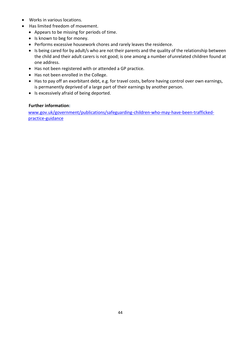- Works in various locations.
- Has limited freedom of movement.
	- Appears to be missing for periods of time.
	- Is known to beg for money.
	- Performs excessive housework chores and rarely leaves the residence.
	- Is being cared for by adult/s who are not their parents and the quality of the relationship between the child and their adult carers is not good; is one among a number ofunrelated children found at one address.
	- Has not been registered with or attended a GP practice.
	- Has not been enrolled in the College.
	- Has to pay off an exorbitant debt, e.g. for travel costs, before having control over own earnings, is permanently deprived of a large part of their earnings by another person.
	- Is excessively afraid of being deported.

#### **Further information:**

[www.gov.uk/government/publications/safeguarding-children-who-may-have-been-trafficked](http://www.gov.uk/government/publications/safeguarding-children-who-may-have-been-trafficked-practice-guidance)[practice-guidance](http://www.gov.uk/government/publications/safeguarding-children-who-may-have-been-trafficked-practice-guidance)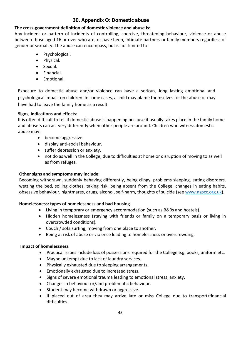### **30. Appendix O: Domestic abuse**

#### **The cross-government definition of domestic violence and abuse is:**

Any incident or pattern of incidents of controlling, coercive, threatening behaviour, violence or abuse between those aged 16 or over who are, or have been, intimate partners or family members regardless of gender or sexuality. The abuse can encompass, but is not limited to:

- Psychological.
- Physical.
- Sexual.
- Financial.
- Emotional.

Exposure to domestic abuse and/or violence can have a serious, long lasting emotional and psychological impact on children. In some cases, a child may blame themselves for the abuse or may have had to leave the family home as a result.

#### **Signs, indications and effects:**

It is often difficult to tell if domestic abuse is happening because it usually takes place in the family home and abusers can act very differently when other people are around. Children who witness domestic abuse may:

- become aggressive.
- display anti-social behaviour.
- suffer depression or anxiety.
- not do as well in the College, due to difficulties at home or disruption of moving to as well as from refuges.

#### **Other signs and symptoms may include:**

Becoming withdrawn, suddenly behaving differently, being clingy, problems sleeping, eating disorders, wetting the bed, soiling clothes, taking risk, being absent from the College, changes in eating habits, obsessive behaviour, nightmares, drugs, alcohol, self-harm, thoughts of suicide (see [www.nspcc.org.uk\)](http://www.nspcc.org.uk/).

#### **Homelessness: types of homelessness and bad housing**

- Living in temporary or emergency accommodation (such as B&Bs and hostels).
- Hidden homelessness (staying with friends or family on a temporary basis or living in overcrowded conditions).
- Couch / sofa surfing, moving from one place to another.
- Being at risk of abuse or violence leading to homelessness or overcrowding.

#### **Impact of homelessness**

- Practical issues include loss of possessions required for the College e.g. books, uniform etc.
- Maybe unkempt due to lack of laundry services.
- Physically exhausted due to sleeping arrangements.
- Emotionally exhausted due to increased stress.
- Signs of severe emotional trauma leading to emotional stress, anxiety.
- Changes in behaviour or/and problematic behaviour.
- Student may become withdrawn or aggressive.
- If placed out of area they may arrive late or miss College due to transport/financial difficulties.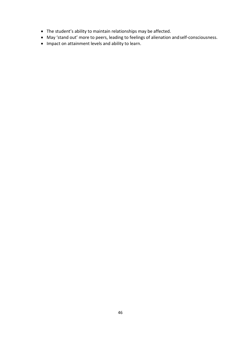- The student's ability to maintain relationships may be affected.
- May 'stand out' more to peers, leading to feelings of alienation andself-consciousness.
- Impact on attainment levels and ability to learn.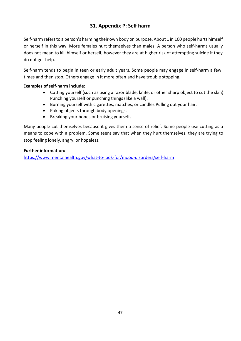## **31. Appendix P: Self harm**

Self-harm refers to a person's harming their own body on purpose. About 1 in 100 people hurts himself or herself in this way. More females hurt themselves than males. A person who self-harms usually does not mean to kill himself or herself, however they are at higher risk of attempting suicide if they do not get help.

Self-harm tends to begin in teen or early adult years. Some people may engage in self-harm a few times and then stop. Others engage in it more often and have trouble stopping.

#### **Examples of self-harm include:**

- Cutting yourself (such as using a razor blade, knife, or other sharp object to cut the skin) Punching yourself or punching things (like a wall).
- Burning yourself with cigarettes, matches, or candles Pulling out your hair.
- Poking objects through body openings.
- Breaking your bones or bruising yourself.

Many people cut themselves because it gives them a sense of relief. Some people use cutting as a means to cope with a problem. Some teens say that when they hurt themselves, they are trying to stop feeling lonely, angry, or hopeless.

#### **Further information:**

<https://www.mentalhealth.gov/what-to-look-for/mood-disorders/self-harm>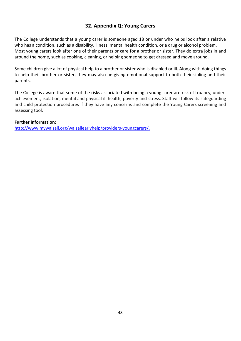### **32. Appendix Q: Young Carers**

The College understands that a young carer is someone aged 18 or under who helps look after a relative who has a condition, such as a disability, illness, mental health condition, or a drug or alcohol problem. Most young carers look after one of their parents or care for a brother or sister. They do extra jobs in and around the home, such as cooking, cleaning, or helping someone to get dressed and move around.

Some children give a lot of physical help to a brother or sister who is disabled or ill. Along with doing things to help their brother or sister, they may also be giving emotional support to both their sibling and their parents.

The College is aware that some of the risks associated with being a young carer are risk of truancy, underachievement, isolation, mental and physical ill health, poverty and stress. Staff will follow its safeguarding and child protection procedures if they have any concerns and complete the Young Carers screening and assessing tool.

#### **Further information:**

[http://www.mywalsall.org/walsallearlyhelp/providers-youngcarers/.](http://www.mywalsall.org/walsallearlyhelp/providers-youngcarers/)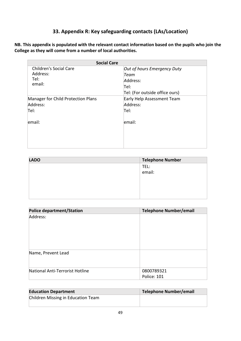## **33. Appendix R: Key safeguarding contacts (LAs/Location)**

**NB. This appendix is populated with the relevant contact information based on the pupils who join the College as they will come from a number of local authorities.**

| <b>Social Care</b>                 |                                |  |
|------------------------------------|--------------------------------|--|
| <b>Children's Social Care</b>      | Out of hours Emergency Duty    |  |
| Address:                           | Team                           |  |
| Tel:                               | Address:                       |  |
| email:                             | Tel:                           |  |
|                                    | Tel: (For outside office ours) |  |
| Manager for Child Protection Plans | Early Help Assessment Team     |  |
| Address:                           | Address:                       |  |
| Tel:                               | Tel:                           |  |
|                                    |                                |  |
| email:                             | email:                         |  |
|                                    |                                |  |
|                                    |                                |  |
|                                    |                                |  |
|                                    |                                |  |

| <b>LADO</b> | Telephone Number |
|-------------|------------------|
|             | TEL:             |
|             | email:           |
|             |                  |
|             |                  |
|             |                  |
|             |                  |

| <b>Police department/Station</b> | <b>Telephone Number/email</b> |
|----------------------------------|-------------------------------|
| Address:                         |                               |
|                                  |                               |
|                                  |                               |
|                                  |                               |
|                                  |                               |
| Name, Prevent Lead               |                               |
|                                  |                               |
|                                  |                               |
| National Anti-Terrorist Hotline  | 0800789321                    |
|                                  | Police: 101                   |

| <b>Education Department</b>        | <b>Telephone Number/email</b> |
|------------------------------------|-------------------------------|
| Children Missing in Education Team |                               |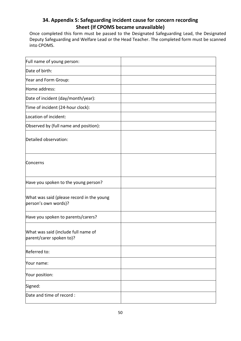## **34. Appendix S: Safeguarding incident cause for concern recording Sheet (If CPOMS became unavailable)**

Once completed this form must be passed to the Designated Safeguarding Lead, the Designated Deputy Safeguarding and Welfare Lead or the Head Teacher. The completed form must be scanned into CPOMS.

| Full name of young person:                                        |  |
|-------------------------------------------------------------------|--|
| Date of birth:                                                    |  |
| Year and Form Group:                                              |  |
| Home address:                                                     |  |
| Date of incident (day/month/year):                                |  |
| Time of incident (24-hour clock):                                 |  |
| Location of incident:                                             |  |
| Observed by (full name and position):                             |  |
| Detailed observation:                                             |  |
| Concerns                                                          |  |
| Have you spoken to the young person?                              |  |
| What was said (please record in the young<br>person's own words)? |  |
| Have you spoken to parents/carers?                                |  |
| What was said (include full name of<br>parent/carer spoken to)?   |  |
| Referred to:                                                      |  |
| Your name:                                                        |  |
| Your position:                                                    |  |
| Signed:                                                           |  |
| Date and time of record :                                         |  |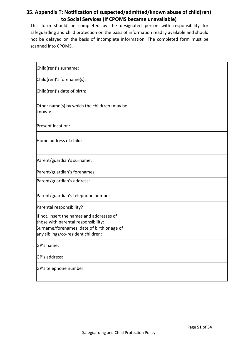## **35. Appendix T: Notification of suspected/admitted/known abuse of child(ren) to Social Services (If CPOMS became unavailable)**

This form should be completed by the designated person with responsibility for safeguarding and child protection on the basis of information readily available and should not be delayed on the basis of incomplete information. The completed form must be scanned into CPOMS.

| Child(ren)'s surname:                                                            |  |
|----------------------------------------------------------------------------------|--|
| Child(ren)'s forename(s):                                                        |  |
| Child(ren)'s date of birth:                                                      |  |
| Other name(s) by which the child(ren) may be<br>known:                           |  |
| Present location:                                                                |  |
| Home address of child:                                                           |  |
| Parent/guardian's surname:                                                       |  |
| Parent/guardian's forenames:                                                     |  |
| Parent/guardian's address:                                                       |  |
| Parent/guardian's telephone number:                                              |  |
| Parental responsibility?                                                         |  |
| If not, insert the names and addresses of<br>those with parental responsibility: |  |
| Surname/forenames, date of birth or age of<br>any siblings/co-resident children: |  |
| GP's name:                                                                       |  |
| GP's address:                                                                    |  |
| GP's telephone number:                                                           |  |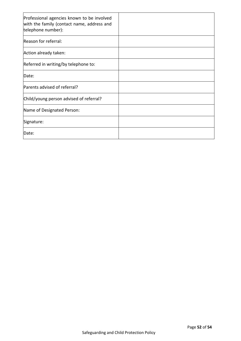| Professional agencies known to be involved<br>with the family (contact name, address and<br>telephone number): |  |
|----------------------------------------------------------------------------------------------------------------|--|
| Reason for referral:                                                                                           |  |
| Action already taken:                                                                                          |  |
| Referred in writing/by telephone to:                                                                           |  |
| Date:                                                                                                          |  |
| Parents advised of referral?                                                                                   |  |
| Child/young person advised of referral?                                                                        |  |
| Name of Designated Person:                                                                                     |  |
| Signature:                                                                                                     |  |
| Date:                                                                                                          |  |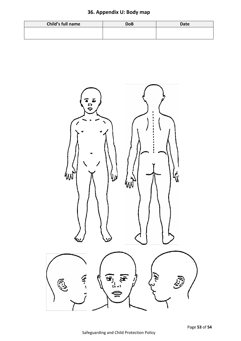## **36. Appendix U: Body map**

| Child's full name | <b>DoB</b> | Date |
|-------------------|------------|------|
|                   |            |      |
|                   |            |      |